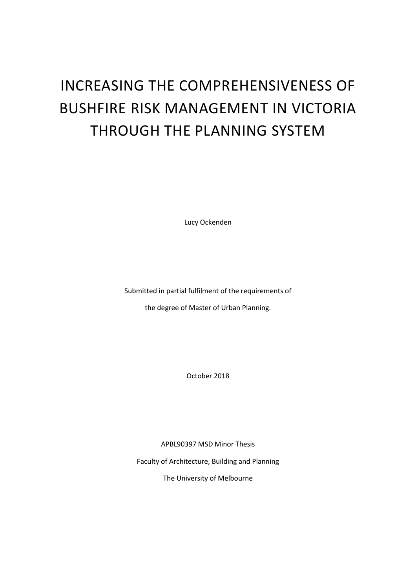# INCREASING THE COMPREHENSIVENESS OF BUSHFIRE RISK MANAGEMENT IN VICTORIA THROUGH THE PLANNING SYSTEM

Lucy Ockenden

Submitted in partial fulfilment of the requirements of

the degree of Master of Urban Planning.

October 2018

APBL90397 MSD Minor Thesis

Faculty of Architecture, Building and Planning

The University of Melbourne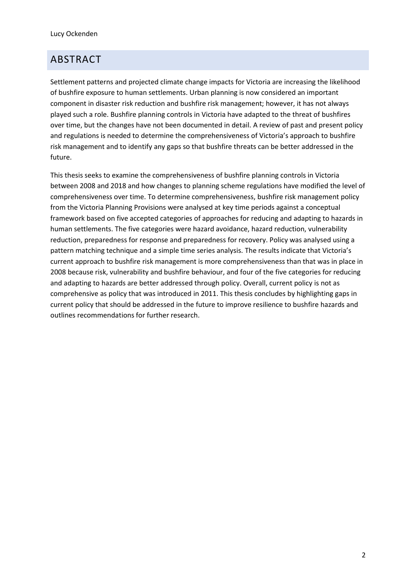# <span id="page-1-0"></span>ABSTRACT

Settlement patterns and projected climate change impacts for Victoria are increasing the likelihood of bushfire exposure to human settlements. Urban planning is now considered an important component in disaster risk reduction and bushfire risk management; however, it has not always played such a role. Bushfire planning controls in Victoria have adapted to the threat of bushfires over time, but the changes have not been documented in detail. A review of past and present policy and regulations is needed to determine the comprehensiveness of Victoria's approach to bushfire risk management and to identify any gaps so that bushfire threats can be better addressed in the future.

This thesis seeks to examine the comprehensiveness of bushfire planning controls in Victoria between 2008 and 2018 and how changes to planning scheme regulations have modified the level of comprehensiveness over time. To determine comprehensiveness, bushfire risk management policy from the Victoria Planning Provisions were analysed at key time periods against a conceptual framework based on five accepted categories of approaches for reducing and adapting to hazards in human settlements. The five categories were hazard avoidance, hazard reduction, vulnerability reduction, preparedness for response and preparedness for recovery. Policy was analysed using a pattern matching technique and a simple time series analysis. The results indicate that Victoria's current approach to bushfire risk management is more comprehensiveness than that was in place in 2008 because risk, vulnerability and bushfire behaviour, and four of the five categories for reducing and adapting to hazards are better addressed through policy. Overall, current policy is not as comprehensive as policy that was introduced in 2011. This thesis concludes by highlighting gaps in current policy that should be addressed in the future to improve resilience to bushfire hazards and outlines recommendations for further research.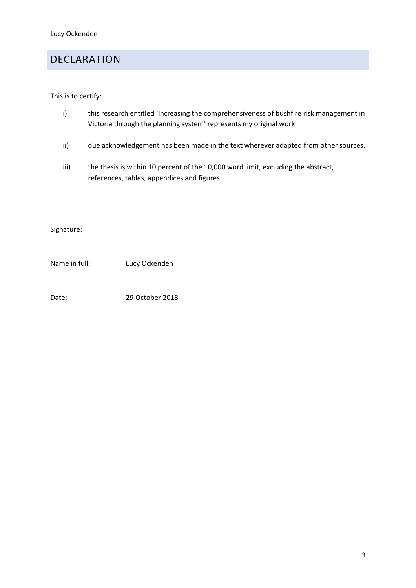# <span id="page-2-0"></span>DECLARATION

This is to certify:

- i) this research entitled 'Increasing the comprehensiveness of bushfire risk management in Victoria through the planning system' represents my original work.
- ii) due acknowledgement has been made in the text wherever adapted from other sources.
- iii) the thesis is within 10 percent of the 10,000 word limit, excluding the abstract, references, tables, appendices and figures.

Signature:

Name in full: Lucy Ockenden

Date: 29 October 2018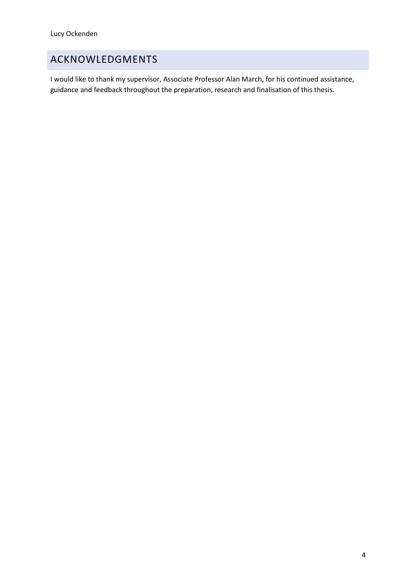# <span id="page-3-0"></span>ACKNOWLEDGMENTS

I would like to thank my supervisor, Associate Professor Alan March, for his continued assistance, guidance and feedback throughout the preparation, research and finalisation of this thesis.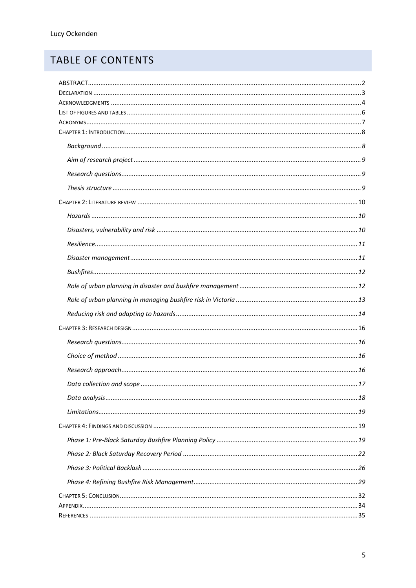# TABLE OF CONTENTS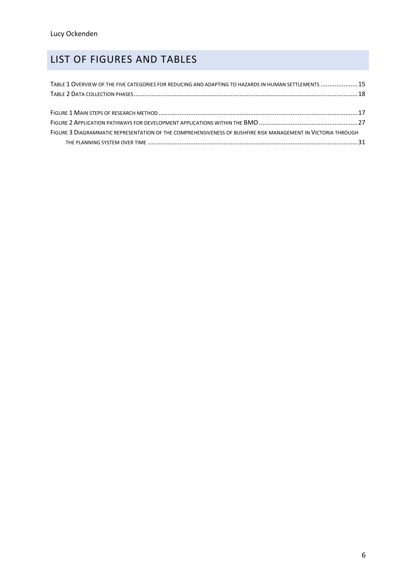# <span id="page-5-0"></span>LIST OF FIGURES AND TABLES

| TABLE 1 OVERVIEW OF THE FIVE CATEGORIES FOR REDUCING AND ADAPTING TO HAZARDS IN HUMAN SETTLEMENTS 15          |  |
|---------------------------------------------------------------------------------------------------------------|--|
|                                                                                                               |  |
|                                                                                                               |  |
|                                                                                                               |  |
| FIGURE 3 DIAGRAMMATIC REPRESENTATION OF THE COMPREHENSIVENESS OF BUSHFIRE RISK MANAGEMENT IN VICTORIA THROUGH |  |
|                                                                                                               |  |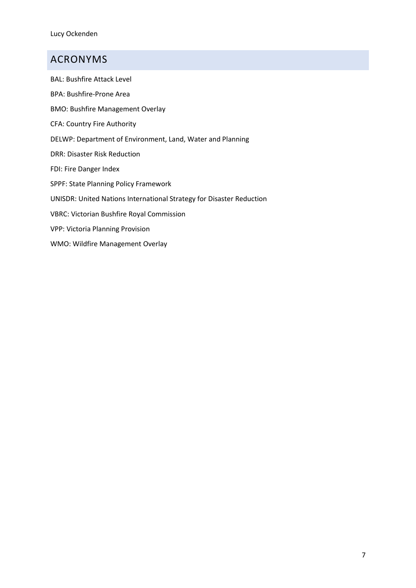# <span id="page-6-0"></span>ACRONYMS

BAL: Bushfire Attack Level BPA: Bushfire-Prone Area BMO: Bushfire Management Overlay CFA: Country Fire Authority DELWP: Department of Environment, Land, Water and Planning DRR: Disaster Risk Reduction FDI: Fire Danger Index SPPF: State Planning Policy Framework UNISDR: United Nations International Strategy for Disaster Reduction VBRC: Victorian Bushfire Royal Commission VPP: Victoria Planning Provision WMO: Wildfire Management Overlay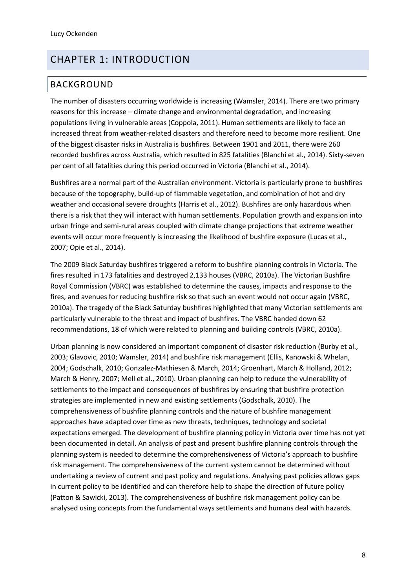# <span id="page-7-0"></span>CHAPTER 1: INTRODUCTION

### <span id="page-7-1"></span>BACKGROUND

The number of disasters occurring worldwide is increasing (Wamsler, 2014). There are two primary reasons for this increase – climate change and environmental degradation, and increasing populations living in vulnerable areas (Coppola, 2011). Human settlements are likely to face an increased threat from weather-related disasters and therefore need to become more resilient. One of the biggest disaster risks in Australia is bushfires. Between 1901 and 2011, there were 260 recorded bushfires across Australia, which resulted in 825 fatalities (Blanchi et al., 2014). Sixty-seven per cent of all fatalities during this period occurred in Victoria (Blanchi et al., 2014).

Bushfires are a normal part of the Australian environment. Victoria is particularly prone to bushfires because of the topography, build-up of flammable vegetation, and combination of hot and dry weather and occasional severe droughts (Harris et al., 2012). Bushfires are only hazardous when there is a risk that they will interact with human settlements. Population growth and expansion into urban fringe and semi-rural areas coupled with climate change projections that extreme weather events will occur more frequently is increasing the likelihood of bushfire exposure (Lucas et al., 2007; Opie et al., 2014).

The 2009 Black Saturday bushfires triggered a reform to bushfire planning controls in Victoria. The fires resulted in 173 fatalities and destroyed 2,133 houses (VBRC, 2010a). The Victorian Bushfire Royal Commission (VBRC) was established to determine the causes, impacts and response to the fires, and avenues for reducing bushfire risk so that such an event would not occur again (VBRC, 2010a). The tragedy of the Black Saturday bushfires highlighted that many Victorian settlements are particularly vulnerable to the threat and impact of bushfires. The VBRC handed down 62 recommendations, 18 of which were related to planning and building controls (VBRC, 2010a).

Urban planning is now considered an important component of disaster risk reduction (Burby et al., 2003; Glavovic, 2010; Wamsler, 2014) and bushfire risk management (Ellis, Kanowski & Whelan, 2004; Godschalk, 2010; Gonzalez-Mathiesen & March, 2014; Groenhart, March & Holland, 2012; March & Henry, 2007; Mell et al., 2010). Urban planning can help to reduce the vulnerability of settlements to the impact and consequences of bushfires by ensuring that bushfire protection strategies are implemented in new and existing settlements (Godschalk, 2010). The comprehensiveness of bushfire planning controls and the nature of bushfire management approaches have adapted over time as new threats, techniques, technology and societal expectations emerged. The development of bushfire planning policy in Victoria over time has not yet been documented in detail. An analysis of past and present bushfire planning controls through the planning system is needed to determine the comprehensiveness of Victoria's approach to bushfire risk management. The comprehensiveness of the current system cannot be determined without undertaking a review of current and past policy and regulations. Analysing past policies allows gaps in current policy to be identified and can therefore help to shape the direction of future policy (Patton & Sawicki, 2013). The comprehensiveness of bushfire risk management policy can be analysed using concepts from the fundamental ways settlements and humans deal with hazards.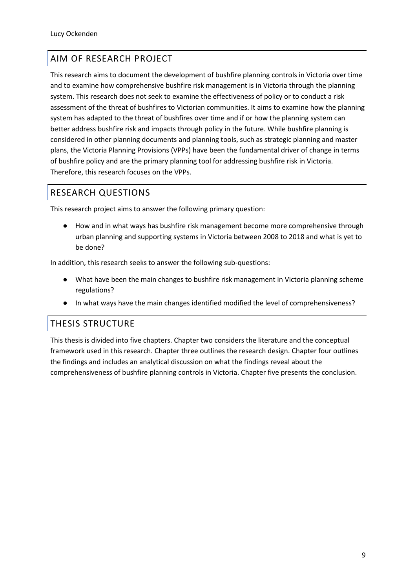# <span id="page-8-0"></span>AIM OF RESEARCH PROJECT

This research aims to document the development of bushfire planning controls in Victoria over time and to examine how comprehensive bushfire risk management is in Victoria through the planning system. This research does not seek to examine the effectiveness of policy or to conduct a risk assessment of the threat of bushfires to Victorian communities. It aims to examine how the planning system has adapted to the threat of bushfires over time and if or how the planning system can better address bushfire risk and impacts through policy in the future. While bushfire planning is considered in other planning documents and planning tools, such as strategic planning and master plans, the Victoria Planning Provisions (VPPs) have been the fundamental driver of change in terms of bushfire policy and are the primary planning tool for addressing bushfire risk in Victoria. Therefore, this research focuses on the VPPs.

# <span id="page-8-1"></span>RESEARCH QUESTIONS

This research project aims to answer the following primary question:

● How and in what ways has bushfire risk management become more comprehensive through urban planning and supporting systems in Victoria between 2008 to 2018 and what is yet to be done?

In addition, this research seeks to answer the following sub-questions:

- What have been the main changes to bushfire risk management in Victoria planning scheme regulations?
- In what ways have the main changes identified modified the level of comprehensiveness?

### <span id="page-8-2"></span>THESIS STRUCTURE

This thesis is divided into five chapters. Chapter two considers the literature and the conceptual framework used in this research. Chapter three outlines the research design. Chapter four outlines the findings and includes an analytical discussion on what the findings reveal about the comprehensiveness of bushfire planning controls in Victoria. Chapter five presents the conclusion.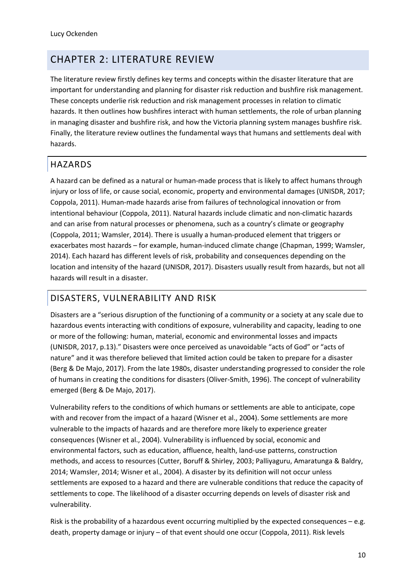# <span id="page-9-0"></span>CHAPTER 2: LITERATURE REVIEW

The literature review firstly defines key terms and concepts within the disaster literature that are important for understanding and planning for disaster risk reduction and bushfire risk management. These concepts underlie risk reduction and risk management processes in relation to climatic hazards. It then outlines how bushfires interact with human settlements, the role of urban planning in managing disaster and bushfire risk, and how the Victoria planning system manages bushfire risk. Finally, the literature review outlines the fundamental ways that humans and settlements deal with hazards.

# <span id="page-9-1"></span>HAZARDS

A hazard can be defined as a natural or human-made process that is likely to affect humans through injury or loss of life, or cause social, economic, property and environmental damages (UNISDR, 2017; Coppola, 2011). Human-made hazards arise from failures of technological innovation or from intentional behaviour (Coppola, 2011). Natural hazards include climatic and non-climatic hazards and can arise from natural processes or phenomena, such as a country's climate or geography (Coppola, 2011; Wamsler, 2014). There is usually a human-produced element that triggers or exacerbates most hazards – for example, human-induced climate change (Chapman, 1999; Wamsler, 2014). Each hazard has different levels of risk, probability and consequences depending on the location and intensity of the hazard (UNISDR, 2017). Disasters usually result from hazards, but not all hazards will result in a disaster.

### <span id="page-9-2"></span>DISASTERS, VULNERABILITY AND RISK

Disasters are a "serious disruption of the functioning of a community or a society at any scale due to hazardous events interacting with conditions of exposure, vulnerability and capacity, leading to one or more of the following: human, material, economic and environmental losses and impacts (UNISDR, 2017, p.13)." Disasters were once perceived as unavoidable "acts of God" or "acts of nature" and it was therefore believed that limited action could be taken to prepare for a disaster (Berg & De Majo, 2017). From the late 1980s, disaster understanding progressed to consider the role of humans in creating the conditions for disasters (Oliver-Smith, 1996). The concept of vulnerability emerged (Berg & De Majo, 2017).

Vulnerability refers to the conditions of which humans or settlements are able to anticipate, cope with and recover from the impact of a hazard (Wisner et al., 2004). Some settlements are more vulnerable to the impacts of hazards and are therefore more likely to experience greater consequences (Wisner et al., 2004). Vulnerability is influenced by social, economic and environmental factors, such as education, affluence, health, land-use patterns, construction methods, and access to resources (Cutter, Boruff & Shirley, 2003; Palliyaguru, Amaratunga & Baldry, 2014; Wamsler, 2014; Wisner et al., 2004). A disaster by its definition will not occur unless settlements are exposed to a hazard and there are vulnerable conditions that reduce the capacity of settlements to cope. The likelihood of a disaster occurring depends on levels of disaster risk and vulnerability.

Risk is the probability of a hazardous event occurring multiplied by the expected consequences – e.g. death, property damage or injury – of that event should one occur (Coppola, 2011). Risk levels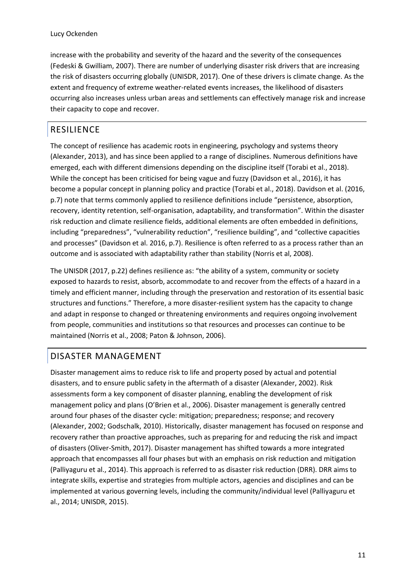increase with the probability and severity of the hazard and the severity of the consequences (Fedeski & Gwilliam, 2007). There are number of underlying disaster risk drivers that are increasing the risk of disasters occurring globally (UNISDR, 2017). One of these drivers is climate change. As the extent and frequency of extreme weather-related events increases, the likelihood of disasters occurring also increases unless urban areas and settlements can effectively manage risk and increase their capacity to cope and recover.

# <span id="page-10-0"></span>RESILIENCE

The concept of resilience has academic roots in engineering, psychology and systems theory (Alexander, 2013), and has since been applied to a range of disciplines. Numerous definitions have emerged, each with different dimensions depending on the discipline itself (Torabi et al., 2018). While the concept has been criticised for being vague and fuzzy (Davidson et al., 2016), it has become a popular concept in planning policy and practice (Torabi et al., 2018). Davidson et al. (2016, p.7) note that terms commonly applied to resilience definitions include "persistence, absorption, recovery, identity retention, self-organisation, adaptability, and transformation". Within the disaster risk reduction and climate resilience fields, additional elements are often embedded in definitions, including "preparedness", "vulnerability reduction", "resilience building", and "collective capacities and processes" (Davidson et al. 2016, p.7). Resilience is often referred to as a process rather than an outcome and is associated with adaptability rather than stability (Norris et al, 2008).

The UNISDR (2017, p.22) defines resilience as: "the ability of a system, community or society exposed to hazards to resist, absorb, accommodate to and recover from the effects of a hazard in a timely and efficient manner, including through the preservation and restoration of its essential basic structures and functions." Therefore, a more disaster-resilient system has the capacity to change and adapt in response to changed or threatening environments and requires ongoing involvement from people, communities and institutions so that resources and processes can continue to be maintained (Norris et al., 2008; Paton & Johnson, 2006).

### <span id="page-10-1"></span>DISASTER MANAGEMENT

Disaster management aims to reduce risk to life and property posed by actual and potential disasters, and to ensure public safety in the aftermath of a disaster (Alexander, 2002). Risk assessments form a key component of disaster planning, enabling the development of risk management policy and plans (O'Brien et al., 2006). Disaster management is generally centred around four phases of the disaster cycle: mitigation; preparedness; response; and recovery (Alexander, 2002; Godschalk, 2010). Historically, disaster management has focused on response and recovery rather than proactive approaches, such as preparing for and reducing the risk and impact of disasters (Oliver-Smith, 2017). Disaster management has shifted towards a more integrated approach that encompasses all four phases but with an emphasis on risk reduction and mitigation (Palliyaguru et al., 2014). This approach is referred to as disaster risk reduction (DRR). DRR aims to integrate skills, expertise and strategies from multiple actors, agencies and disciplines and can be implemented at various governing levels, including the community/individual level (Palliyaguru et al., 2014; UNISDR, 2015).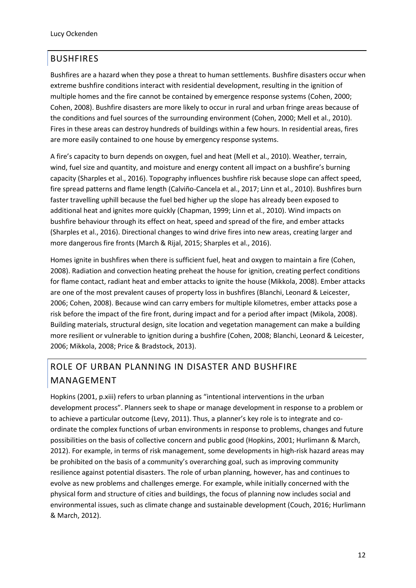## <span id="page-11-0"></span>BUSHFIRES

Bushfires are a hazard when they pose a threat to human settlements. Bushfire disasters occur when extreme bushfire conditions interact with residential development, resulting in the ignition of multiple homes and the fire cannot be contained by emergence response systems (Cohen, 2000; Cohen, 2008). Bushfire disasters are more likely to occur in rural and urban fringe areas because of the conditions and fuel sources of the surrounding environment (Cohen, 2000; Mell et al., 2010). Fires in these areas can destroy hundreds of buildings within a few hours. In residential areas, fires are more easily contained to one house by emergency response systems.

A fire's capacity to burn depends on oxygen, fuel and heat (Mell et al., 2010). Weather, terrain, wind, fuel size and quantity, and moisture and energy content all impact on a bushfire's burning capacity (Sharples et al., 2016). Topography influences bushfire risk because slope can affect speed, fire spread patterns and flame length (Calviño-Cancela et al., 2017; Linn et al., 2010). Bushfires burn faster travelling uphill because the fuel bed higher up the slope has already been exposed to additional heat and ignites more quickly (Chapman, 1999; Linn et al., 2010). Wind impacts on bushfire behaviour through its effect on heat, speed and spread of the fire, and ember attacks (Sharples et al., 2016). Directional changes to wind drive fires into new areas, creating larger and more dangerous fire fronts (March & Rijal, 2015; Sharples et al., 2016).

Homes ignite in bushfires when there is sufficient fuel, heat and oxygen to maintain a fire (Cohen, 2008). Radiation and convection heating preheat the house for ignition, creating perfect conditions for flame contact, radiant heat and ember attacks to ignite the house (Mikkola, 2008). Ember attacks are one of the most prevalent causes of property loss in bushfires (Blanchi, Leonard & Leicester, 2006; Cohen, 2008). Because wind can carry embers for multiple kilometres, ember attacks pose a risk before the impact of the fire front, during impact and for a period after impact (Mikola, 2008). Building materials, structural design, site location and vegetation management can make a building more resilient or vulnerable to ignition during a bushfire (Cohen, 2008; Blanchi, Leonard & Leicester, 2006; Mikkola, 2008; Price & Bradstock, 2013).

# <span id="page-11-1"></span>ROLE OF URBAN PLANNING IN DISASTER AND BUSHFIRE MANAGEMENT

Hopkins (2001, p.xiii) refers to urban planning as "intentional interventions in the urban development process". Planners seek to shape or manage development in response to a problem or to achieve a particular outcome (Levy, 2011). Thus, a planner's key role is to integrate and coordinate the complex functions of urban environments in response to problems, changes and future possibilities on the basis of collective concern and public good (Hopkins, 2001; Hurlimann & March, 2012). For example, in terms of risk management, some developments in high-risk hazard areas may be prohibited on the basis of a community's overarching goal, such as improving community resilience against potential disasters. The role of urban planning, however, has and continues to evolve as new problems and challenges emerge. For example, while initially concerned with the physical form and structure of cities and buildings, the focus of planning now includes social and environmental issues, such as climate change and sustainable development (Couch, 2016; Hurlimann & March, 2012).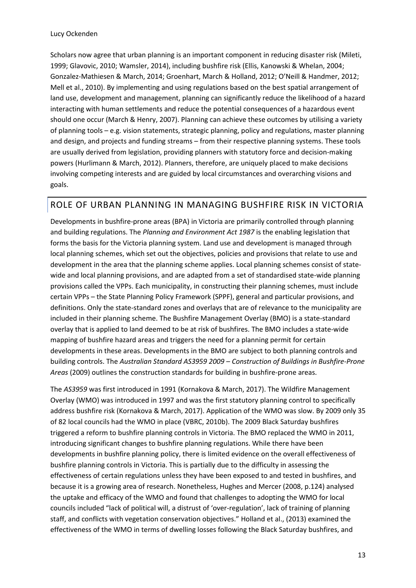Scholars now agree that urban planning is an important component in reducing disaster risk (Mileti, 1999; Glavovic, 2010; Wamsler, 2014), including bushfire risk (Ellis, Kanowski & Whelan, 2004; Gonzalez-Mathiesen & March, 2014; Groenhart, March & Holland, 2012; O'Neill & Handmer, 2012; Mell et al., 2010). By implementing and using regulations based on the best spatial arrangement of land use, development and management, planning can significantly reduce the likelihood of a hazard interacting with human settlements and reduce the potential consequences of a hazardous event should one occur (March & Henry, 2007). Planning can achieve these outcomes by utilising a variety of planning tools – e.g. vision statements, strategic planning, policy and regulations, master planning and design, and projects and funding streams – from their respective planning systems. These tools are usually derived from legislation, providing planners with statutory force and decision-making powers (Hurlimann & March, 2012). Planners, therefore, are uniquely placed to make decisions involving competing interests and are guided by local circumstances and overarching visions and goals.

### <span id="page-12-0"></span>ROLE OF URBAN PLANNING IN MANAGING BUSHFIRE RISK IN VICTORIA

Developments in bushfire-prone areas (BPA) in Victoria are primarily controlled through planning and building regulations. The *Planning and Environment Act 1987* is the enabling legislation that forms the basis for the Victoria planning system. Land use and development is managed through local planning schemes, which set out the objectives, policies and provisions that relate to use and development in the area that the planning scheme applies. Local planning schemes consist of statewide and local planning provisions, and are adapted from a set of standardised state-wide planning provisions called the VPPs. Each municipality, in constructing their planning schemes, must include certain VPPs – the State Planning Policy Framework (SPPF), general and particular provisions, and definitions. Only the state-standard zones and overlays that are of relevance to the municipality are included in their planning scheme. The Bushfire Management Overlay (BMO) is a state-standard overlay that is applied to land deemed to be at risk of bushfires. The BMO includes a state-wide mapping of bushfire hazard areas and triggers the need for a planning permit for certain developments in these areas. Developments in the BMO are subject to both planning controls and building controls. The *Australian Standard AS3959 2009 – Construction of Buildings in Bushfire-Prone Areas* (2009) outlines the construction standards for building in bushfire-prone areas.

The *AS3959* was first introduced in 1991 (Kornakova & March, 2017). The Wildfire Management Overlay (WMO) was introduced in 1997 and was the first statutory planning control to specifically address bushfire risk (Kornakova & March, 2017). Application of the WMO was slow. By 2009 only 35 of 82 local councils had the WMO in place (VBRC, 2010b). The 2009 Black Saturday bushfires triggered a reform to bushfire planning controls in Victoria. The BMO replaced the WMO in 2011, introducing significant changes to bushfire planning regulations. While there have been developments in bushfire planning policy, there is limited evidence on the overall effectiveness of bushfire planning controls in Victoria. This is partially due to the difficulty in assessing the effectiveness of certain regulations unless they have been exposed to and tested in bushfires, and because it is a growing area of research. Nonetheless, Hughes and Mercer (2008, p.124) analysed the uptake and efficacy of the WMO and found that challenges to adopting the WMO for local councils included "lack of political will, a distrust of 'over-regulation', lack of training of planning staff, and conflicts with vegetation conservation objectives." Holland et al., (2013) examined the effectiveness of the WMO in terms of dwelling losses following the Black Saturday bushfires, and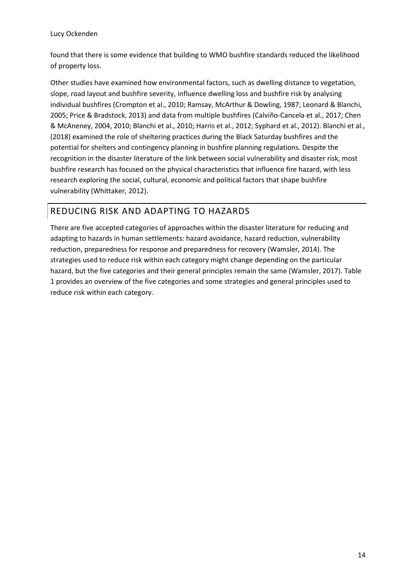#### Lucy Ockenden

found that there is some evidence that building to WMO bushfire standards reduced the likelihood of property loss.

Other studies have examined how environmental factors, such as dwelling distance to vegetation, slope, road layout and bushfire severity, influence dwelling loss and bushfire risk by analysing individual bushfires (Crompton et al., 2010; Ramsay, McArthur & Dowling, 1987; Leonard & Blanchi, 2005; Price & Bradstock, 2013) and data from multiple bushfires (Calviño-Cancela et al., 2017; Chen & McAneney, 2004, 2010; Blanchi et al., 2010; Harris et al., 2012; Syphard et al., 2012). Blanchi et al., (2018) examined the role of sheltering practices during the Black Saturday bushfires and the potential for shelters and contingency planning in bushfire planning regulations. Despite the recognition in the disaster literature of the link between social vulnerability and disaster risk, most bushfire research has focused on the physical characteristics that influence fire hazard, with less research exploring the social, cultural, economic and political factors that shape bushfire vulnerability (Whittaker, 2012).

# <span id="page-13-0"></span>REDUCING RISK AND ADAPTING TO HAZARDS

There are five accepted categories of approaches within the disaster literature for reducing and adapting to hazards in human settlements: hazard avoidance, hazard reduction, vulnerability reduction, preparedness for response and preparedness for recovery (Wamsler, 2014). The strategies used to reduce risk within each category might change depending on the particular hazard, but the five categories and their general principles remain the same (Wamsler, 2017). Table 1 provides an overview of the five categories and some strategies and general principles used to reduce risk within each category.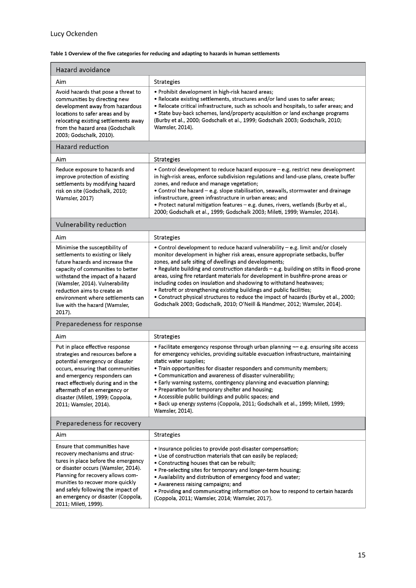#### <span id="page-14-0"></span>**Table 1 Overview of the five categories for reducing and adapting to hazards in human settlements**

| Hazard avoidance                                                                                                                                                                                                                                                                                                                  |                                                                                                                                                                                                                                                                                                                                                                                                                                                                                                                                                                                                                                                                                                                                |  |  |  |
|-----------------------------------------------------------------------------------------------------------------------------------------------------------------------------------------------------------------------------------------------------------------------------------------------------------------------------------|--------------------------------------------------------------------------------------------------------------------------------------------------------------------------------------------------------------------------------------------------------------------------------------------------------------------------------------------------------------------------------------------------------------------------------------------------------------------------------------------------------------------------------------------------------------------------------------------------------------------------------------------------------------------------------------------------------------------------------|--|--|--|
| Aim                                                                                                                                                                                                                                                                                                                               | Strategies                                                                                                                                                                                                                                                                                                                                                                                                                                                                                                                                                                                                                                                                                                                     |  |  |  |
| Avoid hazards that pose a threat to<br>communities by directing new<br>development away from hazardous<br>locations to safer areas and by<br>relocating existing settlements away<br>from the hazard area (Godschalk<br>2003; Godschalk, 2010).                                                                                   | • Prohibit development in high-risk hazard areas;<br>• Relocate existing settlements, structures and/or land uses to safer areas;<br>. Relocate critical infrastructure, such as schools and hospitals, to safer areas; and<br>• State buy-back schemes, land/property acquisition or land exchange programs<br>(Burby et al., 2000; Godschalk et al., 1999; Godschalk 2003; Godschalk, 2010;<br>Wamsler, 2014).                                                                                                                                                                                                                                                                                                               |  |  |  |
| Hazard reduction                                                                                                                                                                                                                                                                                                                  |                                                                                                                                                                                                                                                                                                                                                                                                                                                                                                                                                                                                                                                                                                                                |  |  |  |
| Aim                                                                                                                                                                                                                                                                                                                               | Strategies                                                                                                                                                                                                                                                                                                                                                                                                                                                                                                                                                                                                                                                                                                                     |  |  |  |
| Reduce exposure to hazards and<br>improve protection of existing<br>settlements by modifying hazard<br>risk on site (Godschalk, 2010;<br><b>Wamsler, 2017)</b>                                                                                                                                                                    | • Control development to reduce hazard exposure – e.g. restrict new development<br>in high-risk areas, enforce subdivision regulations and land-use plans, create buffer<br>zones, and reduce and manage vegetation;<br>• Control the hazard - e.g. slope stabilisation, seawalls, stormwater and drainage<br>infrastructure, green infrastructure in urban areas; and<br>. Protect natural mitigation features - e.g. dunes, rivers, wetlands (Burby et al.,<br>2000; Godschalk et al., 1999; Godschalk 2003; Mileti, 1999; Wamsler, 2014).                                                                                                                                                                                   |  |  |  |
| Vulnerability reduction                                                                                                                                                                                                                                                                                                           |                                                                                                                                                                                                                                                                                                                                                                                                                                                                                                                                                                                                                                                                                                                                |  |  |  |
| Aim                                                                                                                                                                                                                                                                                                                               | <b>Strategies</b>                                                                                                                                                                                                                                                                                                                                                                                                                                                                                                                                                                                                                                                                                                              |  |  |  |
| Minimise the susceptibility of<br>settlements to existing or likely<br>future hazards and increase the<br>capacity of communities to better<br>withstand the impact of a hazard<br>(Wamsler, 2014). Vulnerability<br>reduction aims to create an<br>environment where settlements can<br>live with the hazard (Wamsler,<br>2017). | • Control development to reduce hazard vulnerability - e.g. limit and/or closely<br>monitor development in higher risk areas, ensure appropriate setbacks, buffer<br>zones, and safe siting of dwellings and developments;<br>. Regulate building and construction standards - e.g. building on stilts in flood-prone<br>areas, using fire retardant materials for development in bushfire-prone areas or<br>including codes on insulation and shadowing to withstand heatwaves;<br>. Retrofit or strengthening existing buildings and public facilities;<br>. Construct physical structures to reduce the impact of hazards (Burby et al., 2000;<br>Godschalk 2003; Godschalk, 2010; O'Neill & Handmer, 2012; Wamsler, 2014). |  |  |  |
| Preparedeness for response                                                                                                                                                                                                                                                                                                        |                                                                                                                                                                                                                                                                                                                                                                                                                                                                                                                                                                                                                                                                                                                                |  |  |  |
| Aim                                                                                                                                                                                                                                                                                                                               | Strategies                                                                                                                                                                                                                                                                                                                                                                                                                                                                                                                                                                                                                                                                                                                     |  |  |  |
| Put in place effective response<br>strategies and resources before a<br>potential emergency or disaster<br>occurs, ensuring that communities<br>and emergency responders can<br>react effectively during and in the<br>aftermath of an emergency or<br>disaster (Mileti, 1999; Coppola,<br>2011; Wamsler, 2014).                  | • Facilitate emergency response through urban planning -- e.g. ensuring site access<br>for emergency vehicles, providing suitable evacuation infrastructure, maintaining<br>static water supplies;<br>. Train opportunities for disaster responders and community members;<br>• Communication and awareness of disaster vulnerability;<br>• Early warning systems, contingency planning and evacuation planning;<br>• Preparation for temporary shelter and housing;<br>• Accessible public buildings and public spaces; and<br>• Back up energy systems (Coppola, 2011; Godschalk et al., 1999; Mileti, 1999;<br>Wamsler, 2014).                                                                                              |  |  |  |
| Preparedeness for recovery                                                                                                                                                                                                                                                                                                        |                                                                                                                                                                                                                                                                                                                                                                                                                                                                                                                                                                                                                                                                                                                                |  |  |  |
| Aim                                                                                                                                                                                                                                                                                                                               | <b>Strategies</b>                                                                                                                                                                                                                                                                                                                                                                                                                                                                                                                                                                                                                                                                                                              |  |  |  |
| Ensure that communities have<br>recovery mechanisms and struc-<br>tures in place before the emergency<br>or disaster occurs (Wamsler, 2014).<br>Planning for recovery allows com-<br>munities to recover more quickly<br>and safely following the impact of<br>an emergency or disaster (Coppola,<br>2011; Mileti, 1999).         | . Insurance policies to provide post-disaster compensation;<br>. Use of construction materials that can easily be replaced;<br>• Constructing houses that can be rebuilt;<br>• Pre-selecting sites for temporary and longer-term housing;<br>. Availability and distribution of emergency food and water;<br>• Awareness raising campaigns; and<br>. Providing and communicating information on how to respond to certain hazards<br>(Coppola, 2011; Wamsler, 2014; Wamsler, 2017).                                                                                                                                                                                                                                            |  |  |  |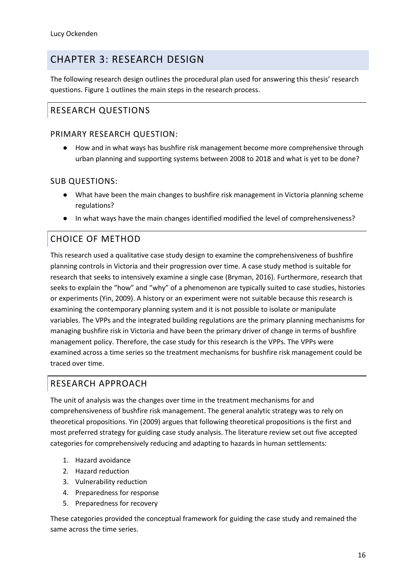# <span id="page-15-0"></span>CHAPTER 3: RESEARCH DESIGN

The following research design outlines the procedural plan used for answering this thesis' research questions. Figure 1 outlines the main steps in the research process.

# <span id="page-15-1"></span>RESEARCH QUESTIONS

### PRIMARY RESEARCH QUESTION:

● How and in what ways has bushfire risk management become more comprehensive through urban planning and supporting systems between 2008 to 2018 and what is yet to be done?

### SUB QUESTIONS:

- What have been the main changes to bushfire risk management in Victoria planning scheme regulations?
- In what ways have the main changes identified modified the level of comprehensiveness?

### <span id="page-15-2"></span>CHOICE OF METHOD

This research used a qualitative case study design to examine the comprehensiveness of bushfire planning controls in Victoria and their progression over time. A case study method is suitable for research that seeks to intensively examine a single case (Bryman, 2016). Furthermore, research that seeks to explain the "how" and "why" of a phenomenon are typically suited to case studies, histories or experiments (Yin, 2009). A history or an experiment were not suitable because this research is examining the contemporary planning system and it is not possible to isolate or manipulate variables. The VPPs and the integrated building regulations are the primary planning mechanisms for managing bushfire risk in Victoria and have been the primary driver of change in terms of bushfire management policy. Therefore, the case study for this research is the VPPs. The VPPs were examined across a time series so the treatment mechanisms for bushfire risk management could be traced over time.

### <span id="page-15-3"></span>RESEARCH APPROACH

The unit of analysis was the changes over time in the treatment mechanisms for and comprehensiveness of bushfire risk management. The general analytic strategy was to rely on theoretical propositions. Yin (2009) argues that following theoretical propositions is the first and most preferred strategy for guiding case study analysis. The literature review set out five accepted categories for comprehensively reducing and adapting to hazards in human settlements:

- 1. Hazard avoidance
- 2. Hazard reduction
- 3. Vulnerability reduction
- 4. Preparedness for response
- 5. Preparedness for recovery

These categories provided the conceptual framework for guiding the case study and remained the same across the time series.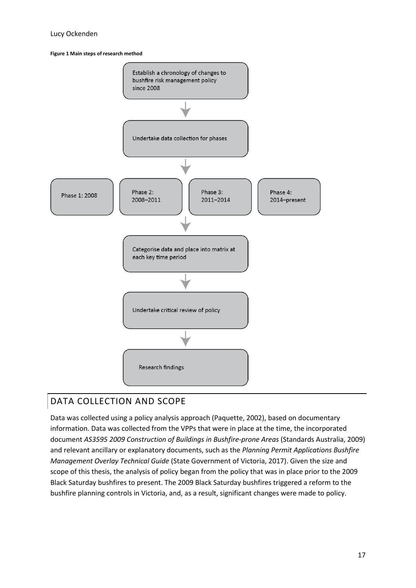#### Lucy Ockenden

<span id="page-16-1"></span>**Figure 1 Main steps of research method**



# <span id="page-16-0"></span>DATA COLLECTION AND SCOPE

Data was collected using a policy analysis approach (Paquette, 2002), based on documentary information. Data was collected from the VPPs that were in place at the time, the incorporated document *AS3595 2009 Construction of Buildings in Bushfire-prone Areas* (Standards Australia, 2009) and relevant ancillary or explanatory documents, such as the *Planning Permit Applications Bushfire Management Overlay Technical Guide* (State Government of Victoria, 2017). Given the size and scope of this thesis, the analysis of policy began from the policy that was in place prior to the 2009 Black Saturday bushfires to present. The 2009 Black Saturday bushfires triggered a reform to the bushfire planning controls in Victoria, and, as a result, significant changes were made to policy.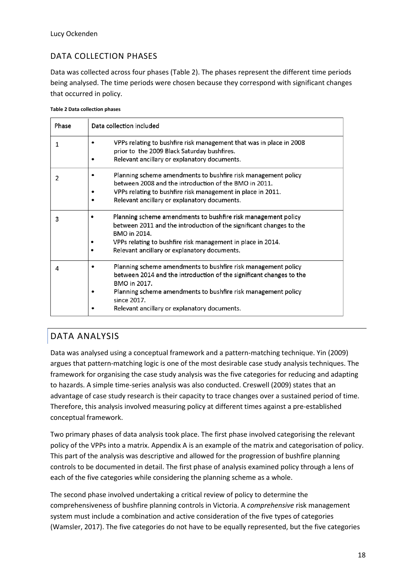### DATA COLLECTION PHASES

Data was collected across four phases (Table 2). The phases represent the different time periods being analysed. The time periods were chosen because they correspond with significant changes that occurred in policy.

<span id="page-17-1"></span>

| <b>Table 2 Data collection phases</b> |
|---------------------------------------|
|---------------------------------------|

| Phase | Data collection included                                                                                                                                                                                                                                                             |  |  |
|-------|--------------------------------------------------------------------------------------------------------------------------------------------------------------------------------------------------------------------------------------------------------------------------------------|--|--|
| 1     | VPPs relating to bushfire risk management that was in place in 2008<br>$\bullet$<br>prior to the 2009 Black Saturday bushfires.<br>Relevant ancillary or explanatory documents.                                                                                                      |  |  |
| 2     | Planning scheme amendments to bushfire risk management policy<br>between 2008 and the introduction of the BMO in 2011.<br>VPPs relating to bushfire risk management in place in 2011.<br>Relevant ancillary or explanatory documents.                                                |  |  |
| 3     | Planning scheme amendments to bushfire risk management policy<br>between 2011 and the introduction of the significant changes to the<br>BMO in 2014.<br>VPPs relating to bushfire risk management in place in 2014.<br>Relevant ancillary or explanatory documents.                  |  |  |
| 4     | Planning scheme amendments to bushfire risk management policy<br>between 2014 and the introduction of the significant changes to the<br>BMO in 2017.<br>Planning scheme amendments to bushfire risk management policy<br>since 2017.<br>Relevant ancillary or explanatory documents. |  |  |

### <span id="page-17-0"></span>DATA ANALYSIS

Data was analysed using a conceptual framework and a pattern-matching technique. Yin (2009) argues that pattern-matching logic is one of the most desirable case study analysis techniques. The framework for organising the case study analysis was the five categories for reducing and adapting to hazards. A simple time-series analysis was also conducted. Creswell (2009) states that an advantage of case study research is their capacity to trace changes over a sustained period of time. Therefore, this analysis involved measuring policy at different times against a pre-established conceptual framework.

Two primary phases of data analysis took place. The first phase involved categorising the relevant policy of the VPPs into a matrix. Appendix A is an example of the matrix and categorisation of policy. This part of the analysis was descriptive and allowed for the progression of bushfire planning controls to be documented in detail. The first phase of analysis examined policy through a lens of each of the five categories while considering the planning scheme as a whole.

The second phase involved undertaking a critical review of policy to determine the comprehensiveness of bushfire planning controls in Victoria. A *comprehensive* risk management system must include a combination and active consideration of the five types of categories (Wamsler, 2017). The five categories do not have to be equally represented, but the five categories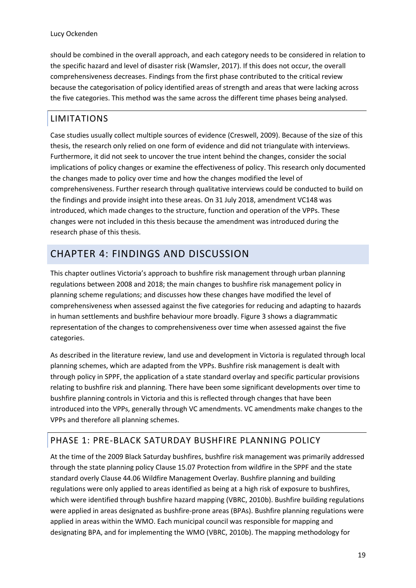should be combined in the overall approach, and each category needs to be considered in relation to the specific hazard and level of disaster risk (Wamsler, 2017). If this does not occur, the overall comprehensiveness decreases. Findings from the first phase contributed to the critical review because the categorisation of policy identified areas of strength and areas that were lacking across the five categories. This method was the same across the different time phases being analysed.

### <span id="page-18-0"></span>LIMITATIONS

Case studies usually collect multiple sources of evidence (Creswell, 2009). Because of the size of this thesis, the research only relied on one form of evidence and did not triangulate with interviews. Furthermore, it did not seek to uncover the true intent behind the changes, consider the social implications of policy changes or examine the effectiveness of policy. This research only documented the changes made to policy over time and how the changes modified the level of comprehensiveness. Further research through qualitative interviews could be conducted to build on the findings and provide insight into these areas. On 31 July 2018, amendment VC148 was introduced, which made changes to the structure, function and operation of the VPPs. These changes were not included in this thesis because the amendment was introduced during the research phase of this thesis.

# <span id="page-18-1"></span>CHAPTER 4: FINDINGS AND DISCUSSION

This chapter outlines Victoria's approach to bushfire risk management through urban planning regulations between 2008 and 2018; the main changes to bushfire risk management policy in planning scheme regulations; and discusses how these changes have modified the level of comprehensiveness when assessed against the five categories for reducing and adapting to hazards in human settlements and bushfire behaviour more broadly. Figure 3 shows a diagrammatic representation of the changes to comprehensiveness over time when assessed against the five categories.

As described in the literature review, land use and development in Victoria is regulated through local planning schemes, which are adapted from the VPPs. Bushfire risk management is dealt with through policy in SPPF, the application of a state standard overlay and specific particular provisions relating to bushfire risk and planning. There have been some significant developments over time to bushfire planning controls in Victoria and this is reflected through changes that have been introduced into the VPPs, generally through VC amendments. VC amendments make changes to the VPPs and therefore all planning schemes.

### <span id="page-18-2"></span>PHASE 1: PRE-BLACK SATURDAY BUSHFIRE PLANNING POLICY

At the time of the 2009 Black Saturday bushfires, bushfire risk management was primarily addressed through the state planning policy Clause 15.07 Protection from wildfire in the SPPF and the state standard overly Clause 44.06 Wildfire Management Overlay. Bushfire planning and building regulations were only applied to areas identified as being at a high risk of exposure to bushfires, which were identified through bushfire hazard mapping (VBRC, 2010b). Bushfire building regulations were applied in areas designated as bushfire-prone areas (BPAs). Bushfire planning regulations were applied in areas within the WMO. Each municipal council was responsible for mapping and designating BPA, and for implementing the WMO (VBRC, 2010b). The mapping methodology for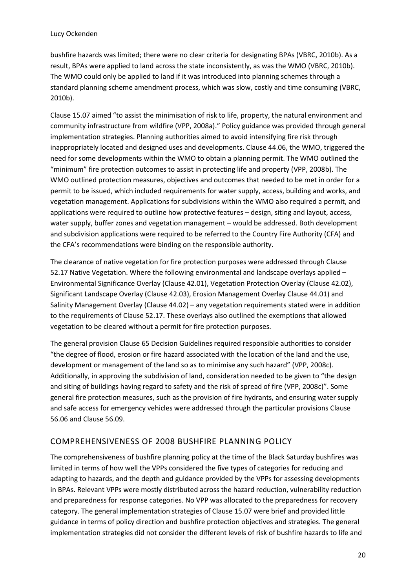bushfire hazards was limited; there were no clear criteria for designating BPAs (VBRC, 2010b). As a result, BPAs were applied to land across the state inconsistently, as was the WMO (VBRC, 2010b). The WMO could only be applied to land if it was introduced into planning schemes through a standard planning scheme amendment process, which was slow, costly and time consuming (VBRC, 2010b).

Clause 15.07 aimed "to assist the minimisation of risk to life, property, the natural environment and community infrastructure from wildfire (VPP, 2008a)." Policy guidance was provided through general implementation strategies. Planning authorities aimed to avoid intensifying fire risk through inappropriately located and designed uses and developments. Clause 44.06, the WMO, triggered the need for some developments within the WMO to obtain a planning permit. The WMO outlined the "minimum" fire protection outcomes to assist in protecting life and property (VPP, 2008b). The WMO outlined protection measures, objectives and outcomes that needed to be met in order for a permit to be issued, which included requirements for water supply, access, building and works, and vegetation management. Applications for subdivisions within the WMO also required a permit, and applications were required to outline how protective features – design, siting and layout, access, water supply, buffer zones and vegetation management – would be addressed. Both development and subdivision applications were required to be referred to the Country Fire Authority (CFA) and the CFA's recommendations were binding on the responsible authority.

The clearance of native vegetation for fire protection purposes were addressed through Clause 52.17 Native Vegetation. Where the following environmental and landscape overlays applied – Environmental Significance Overlay (Clause 42.01), Vegetation Protection Overlay (Clause 42.02), Significant Landscape Overlay (Clause 42.03), Erosion Management Overlay Clause 44.01) and Salinity Management Overlay (Clause 44.02) – any vegetation requirements stated were in addition to the requirements of Clause 52.17. These overlays also outlined the exemptions that allowed vegetation to be cleared without a permit for fire protection purposes.

The general provision Clause 65 Decision Guidelines required responsible authorities to consider "the degree of flood, erosion or fire hazard associated with the location of the land and the use, development or management of the land so as to minimise any such hazard" (VPP, 2008c). Additionally, in approving the subdivision of land, consideration needed to be given to "the design and siting of buildings having regard to safety and the risk of spread of fire (VPP, 2008c)". Some general fire protection measures, such as the provision of fire hydrants, and ensuring water supply and safe access for emergency vehicles were addressed through the particular provisions Clause 56.06 and Clause 56.09.

### COMPREHENSIVENESS OF 2008 BUSHFIRE PLANNING POLICY

The comprehensiveness of bushfire planning policy at the time of the Black Saturday bushfires was limited in terms of how well the VPPs considered the five types of categories for reducing and adapting to hazards, and the depth and guidance provided by the VPPs for assessing developments in BPAs. Relevant VPPs were mostly distributed across the hazard reduction, vulnerability reduction and preparedness for response categories. No VPP was allocated to the preparedness for recovery category. The general implementation strategies of Clause 15.07 were brief and provided little guidance in terms of policy direction and bushfire protection objectives and strategies. The general implementation strategies did not consider the different levels of risk of bushfire hazards to life and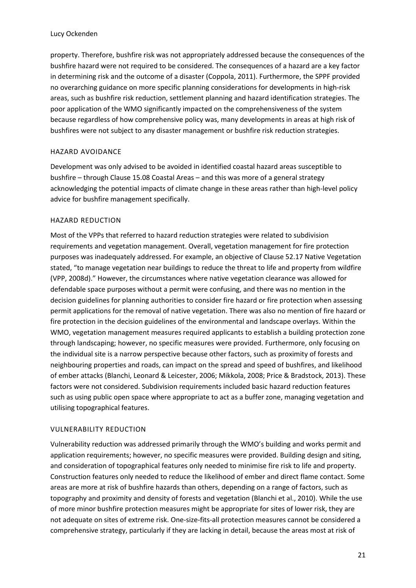property. Therefore, bushfire risk was not appropriately addressed because the consequences of the bushfire hazard were not required to be considered. The consequences of a hazard are a key factor in determining risk and the outcome of a disaster (Coppola, 2011). Furthermore, the SPPF provided no overarching guidance on more specific planning considerations for developments in high-risk areas, such as bushfire risk reduction, settlement planning and hazard identification strategies. The poor application of the WMO significantly impacted on the comprehensiveness of the system because regardless of how comprehensive policy was, many developments in areas at high risk of bushfires were not subject to any disaster management or bushfire risk reduction strategies.

#### HAZARD AVOIDANCE

Development was only advised to be avoided in identified coastal hazard areas susceptible to bushfire – through Clause 15.08 Coastal Areas – and this was more of a general strategy acknowledging the potential impacts of climate change in these areas rather than high-level policy advice for bushfire management specifically.

#### HAZARD REDUCTION

Most of the VPPs that referred to hazard reduction strategies were related to subdivision requirements and vegetation management. Overall, vegetation management for fire protection purposes was inadequately addressed. For example, an objective of Clause 52.17 Native Vegetation stated, "to manage vegetation near buildings to reduce the threat to life and property from wildfire (VPP, 2008d)." However, the circumstances where native vegetation clearance was allowed for defendable space purposes without a permit were confusing, and there was no mention in the decision guidelines for planning authorities to consider fire hazard or fire protection when assessing permit applications for the removal of native vegetation. There was also no mention of fire hazard or fire protection in the decision guidelines of the environmental and landscape overlays. Within the WMO, vegetation management measures required applicants to establish a building protection zone through landscaping; however, no specific measures were provided. Furthermore, only focusing on the individual site is a narrow perspective because other factors, such as proximity of forests and neighbouring properties and roads, can impact on the spread and speed of bushfires, and likelihood of ember attacks (Blanchi, Leonard & Leicester, 2006; Mikkola, 2008; Price & Bradstock, 2013). These factors were not considered. Subdivision requirements included basic hazard reduction features such as using public open space where appropriate to act as a buffer zone, managing vegetation and utilising topographical features.

#### VULNERABILITY REDUCTION

Vulnerability reduction was addressed primarily through the WMO's building and works permit and application requirements; however, no specific measures were provided. Building design and siting, and consideration of topographical features only needed to minimise fire risk to life and property. Construction features only needed to reduce the likelihood of ember and direct flame contact. Some areas are more at risk of bushfire hazards than others, depending on a range of factors, such as topography and proximity and density of forests and vegetation (Blanchi et al., 2010). While the use of more minor bushfire protection measures might be appropriate for sites of lower risk, they are not adequate on sites of extreme risk. One-size-fits-all protection measures cannot be considered a comprehensive strategy, particularly if they are lacking in detail, because the areas most at risk of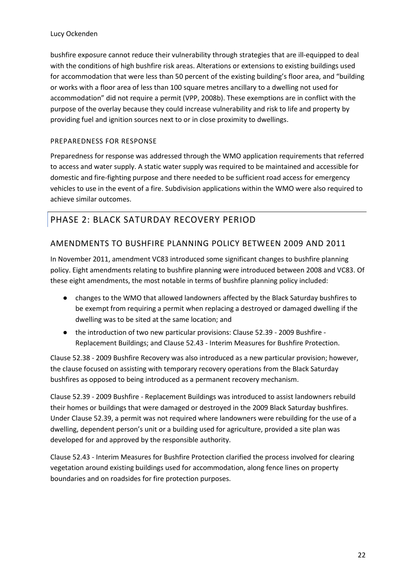bushfire exposure cannot reduce their vulnerability through strategies that are ill-equipped to deal with the conditions of high bushfire risk areas. Alterations or extensions to existing buildings used for accommodation that were less than 50 percent of the existing building's floor area, and "building or works with a floor area of less than 100 square metres ancillary to a dwelling not used for accommodation" did not require a permit (VPP, 2008b). These exemptions are in conflict with the purpose of the overlay because they could increase vulnerability and risk to life and property by providing fuel and ignition sources next to or in close proximity to dwellings.

#### PREPAREDNESS FOR RESPONSE

Preparedness for response was addressed through the WMO application requirements that referred to access and water supply. A static water supply was required to be maintained and accessible for domestic and fire-fighting purpose and there needed to be sufficient road access for emergency vehicles to use in the event of a fire. Subdivision applications within the WMO were also required to achieve similar outcomes.

### <span id="page-21-0"></span>PHASE 2: BLACK SATURDAY RECOVERY PERIOD

### AMENDMENTS TO BUSHFIRE PLANNING POLICY BETWEEN 2009 AND 2011

In November 2011, amendment VC83 introduced some significant changes to bushfire planning policy. Eight amendments relating to bushfire planning were introduced between 2008 and VC83. Of these eight amendments, the most notable in terms of bushfire planning policy included:

- changes to the WMO that allowed landowners affected by the Black Saturday bushfires to be exempt from requiring a permit when replacing a destroyed or damaged dwelling if the dwelling was to be sited at the same location; and
- the introduction of two new particular provisions: Clause 52.39 2009 Bushfire Replacement Buildings; and Clause 52.43 - Interim Measures for Bushfire Protection.

Clause 52.38 - 2009 Bushfire Recovery was also introduced as a new particular provision; however, the clause focused on assisting with temporary recovery operations from the Black Saturday bushfires as opposed to being introduced as a permanent recovery mechanism.

Clause 52.39 - 2009 Bushfire - Replacement Buildings was introduced to assist landowners rebuild their homes or buildings that were damaged or destroyed in the 2009 Black Saturday bushfires. Under Clause 52.39, a permit was not required where landowners were rebuilding for the use of a dwelling, dependent person's unit or a building used for agriculture, provided a site plan was developed for and approved by the responsible authority.

Clause 52.43 - Interim Measures for Bushfire Protection clarified the process involved for clearing vegetation around existing buildings used for accommodation, along fence lines on property boundaries and on roadsides for fire protection purposes.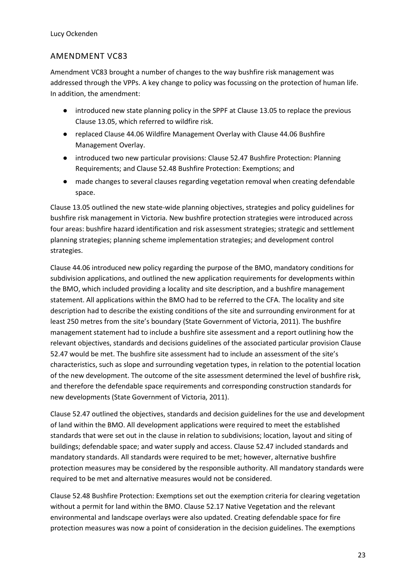### AMENDMENT VC83

Amendment VC83 brought a number of changes to the way bushfire risk management was addressed through the VPPs. A key change to policy was focussing on the protection of human life. In addition, the amendment:

- introduced new state planning policy in the SPPF at Clause 13.05 to replace the previous Clause 13.05, which referred to wildfire risk.
- replaced Clause 44.06 Wildfire Management Overlay with Clause 44.06 Bushfire Management Overlay.
- introduced two new particular provisions: Clause 52.47 Bushfire Protection: Planning Requirements; and Clause 52.48 Bushfire Protection: Exemptions; and
- made changes to several clauses regarding vegetation removal when creating defendable space.

Clause 13.05 outlined the new state-wide planning objectives, strategies and policy guidelines for bushfire risk management in Victoria. New bushfire protection strategies were introduced across four areas: bushfire hazard identification and risk assessment strategies; strategic and settlement planning strategies; planning scheme implementation strategies; and development control strategies.

Clause 44.06 introduced new policy regarding the purpose of the BMO, mandatory conditions for subdivision applications, and outlined the new application requirements for developments within the BMO, which included providing a locality and site description, and a bushfire management statement. All applications within the BMO had to be referred to the CFA. The locality and site description had to describe the existing conditions of the site and surrounding environment for at least 250 metres from the site's boundary (State Government of Victoria, 2011). The bushfire management statement had to include a bushfire site assessment and a report outlining how the relevant objectives, standards and decisions guidelines of the associated particular provision Clause 52.47 would be met. The bushfire site assessment had to include an assessment of the site's characteristics, such as slope and surrounding vegetation types, in relation to the potential location of the new development. The outcome of the site assessment determined the level of bushfire risk, and therefore the defendable space requirements and corresponding construction standards for new developments (State Government of Victoria, 2011).

Clause 52.47 outlined the objectives, standards and decision guidelines for the use and development of land within the BMO. All development applications were required to meet the established standards that were set out in the clause in relation to subdivisions; location, layout and siting of buildings; defendable space; and water supply and access. Clause 52.47 included standards and mandatory standards. All standards were required to be met; however, alternative bushfire protection measures may be considered by the responsible authority. All mandatory standards were required to be met and alternative measures would not be considered.

Clause 52.48 Bushfire Protection: Exemptions set out the exemption criteria for clearing vegetation without a permit for land within the BMO. Clause 52.17 Native Vegetation and the relevant environmental and landscape overlays were also updated. Creating defendable space for fire protection measures was now a point of consideration in the decision guidelines. The exemptions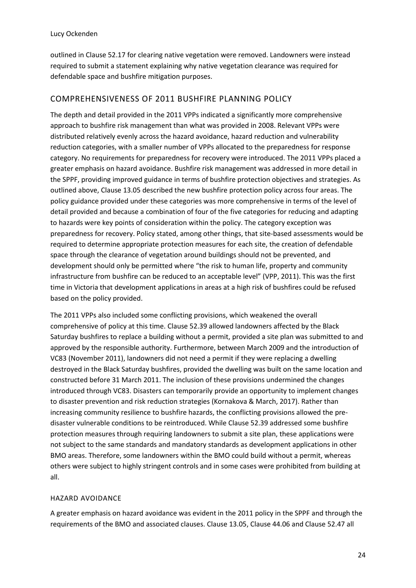outlined in Clause 52.17 for clearing native vegetation were removed. Landowners were instead required to submit a statement explaining why native vegetation clearance was required for defendable space and bushfire mitigation purposes.

### COMPREHENSIVENESS OF 2011 BUSHFIRE PLANNING POLICY

The depth and detail provided in the 2011 VPPs indicated a significantly more comprehensive approach to bushfire risk management than what was provided in 2008. Relevant VPPs were distributed relatively evenly across the hazard avoidance, hazard reduction and vulnerability reduction categories, with a smaller number of VPPs allocated to the preparedness for response category. No requirements for preparedness for recovery were introduced. The 2011 VPPs placed a greater emphasis on hazard avoidance. Bushfire risk management was addressed in more detail in the SPPF, providing improved guidance in terms of bushfire protection objectives and strategies. As outlined above, Clause 13.05 described the new bushfire protection policy across four areas. The policy guidance provided under these categories was more comprehensive in terms of the level of detail provided and because a combination of four of the five categories for reducing and adapting to hazards were key points of consideration within the policy. The category exception was preparedness for recovery. Policy stated, among other things, that site-based assessments would be required to determine appropriate protection measures for each site, the creation of defendable space through the clearance of vegetation around buildings should not be prevented, and development should only be permitted where "the risk to human life, property and community infrastructure from bushfire can be reduced to an acceptable level" (VPP, 2011). This was the first time in Victoria that development applications in areas at a high risk of bushfires could be refused based on the policy provided.

The 2011 VPPs also included some conflicting provisions, which weakened the overall comprehensive of policy at this time. Clause 52.39 allowed landowners affected by the Black Saturday bushfires to replace a building without a permit, provided a site plan was submitted to and approved by the responsible authority. Furthermore, between March 2009 and the introduction of VC83 (November 2011), landowners did not need a permit if they were replacing a dwelling destroyed in the Black Saturday bushfires, provided the dwelling was built on the same location and constructed before 31 March 2011. The inclusion of these provisions undermined the changes introduced through VC83. Disasters can temporarily provide an opportunity to implement changes to disaster prevention and risk reduction strategies (Kornakova & March, 2017). Rather than increasing community resilience to bushfire hazards, the conflicting provisions allowed the predisaster vulnerable conditions to be reintroduced. While Clause 52.39 addressed some bushfire protection measures through requiring landowners to submit a site plan, these applications were not subject to the same standards and mandatory standards as development applications in other BMO areas. Therefore, some landowners within the BMO could build without a permit, whereas others were subject to highly stringent controls and in some cases were prohibited from building at all.

#### HAZARD AVOIDANCE

A greater emphasis on hazard avoidance was evident in the 2011 policy in the SPPF and through the requirements of the BMO and associated clauses. Clause 13.05, Clause 44.06 and Clause 52.47 all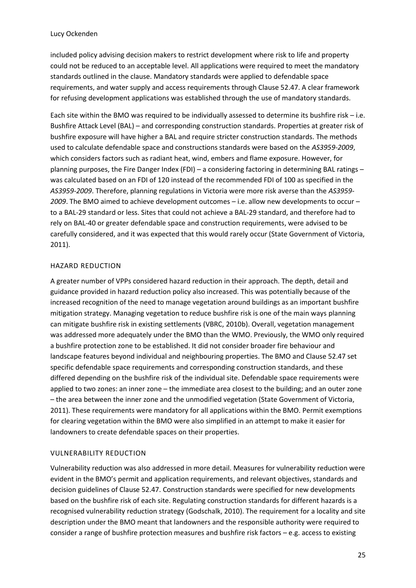included policy advising decision makers to restrict development where risk to life and property could not be reduced to an acceptable level. All applications were required to meet the mandatory standards outlined in the clause. Mandatory standards were applied to defendable space requirements, and water supply and access requirements through Clause 52.47. A clear framework for refusing development applications was established through the use of mandatory standards.

Each site within the BMO was required to be individually assessed to determine its bushfire risk – i.e. Bushfire Attack Level (BAL) – and corresponding construction standards. Properties at greater risk of bushfire exposure will have higher a BAL and require stricter construction standards. The methods used to calculate defendable space and constructions standards were based on the *AS3959-2009*, which considers factors such as radiant heat, wind, embers and flame exposure. However, for planning purposes, the Fire Danger Index (FDI) – a considering factoring in determining BAL ratings – was calculated based on an FDI of 120 instead of the recommended FDI of 100 as specified in the *AS3959-2009*. Therefore, planning regulations in Victoria were more risk averse than the *AS3959- 2009*. The BMO aimed to achieve development outcomes – i.e. allow new developments to occur – to a BAL-29 standard or less. Sites that could not achieve a BAL-29 standard, and therefore had to rely on BAL-40 or greater defendable space and construction requirements, were advised to be carefully considered, and it was expected that this would rarely occur (State Government of Victoria, 2011).

#### HAZARD REDUCTION

A greater number of VPPs considered hazard reduction in their approach. The depth, detail and guidance provided in hazard reduction policy also increased. This was potentially because of the increased recognition of the need to manage vegetation around buildings as an important bushfire mitigation strategy. Managing vegetation to reduce bushfire risk is one of the main ways planning can mitigate bushfire risk in existing settlements (VBRC, 2010b). Overall, vegetation management was addressed more adequately under the BMO than the WMO. Previously, the WMO only required a bushfire protection zone to be established. It did not consider broader fire behaviour and landscape features beyond individual and neighbouring properties. The BMO and Clause 52.47 set specific defendable space requirements and corresponding construction standards, and these differed depending on the bushfire risk of the individual site. Defendable space requirements were applied to two zones: an inner zone – the immediate area closest to the building; and an outer zone – the area between the inner zone and the unmodified vegetation (State Government of Victoria, 2011). These requirements were mandatory for all applications within the BMO. Permit exemptions for clearing vegetation within the BMO were also simplified in an attempt to make it easier for landowners to create defendable spaces on their properties.

#### VULNERABILITY REDUCTION

Vulnerability reduction was also addressed in more detail. Measures for vulnerability reduction were evident in the BMO's permit and application requirements, and relevant objectives, standards and decision guidelines of Clause 52.47. Construction standards were specified for new developments based on the bushfire risk of each site. Regulating construction standards for different hazards is a recognised vulnerability reduction strategy (Godschalk, 2010). The requirement for a locality and site description under the BMO meant that landowners and the responsible authority were required to consider a range of bushfire protection measures and bushfire risk factors – e.g. access to existing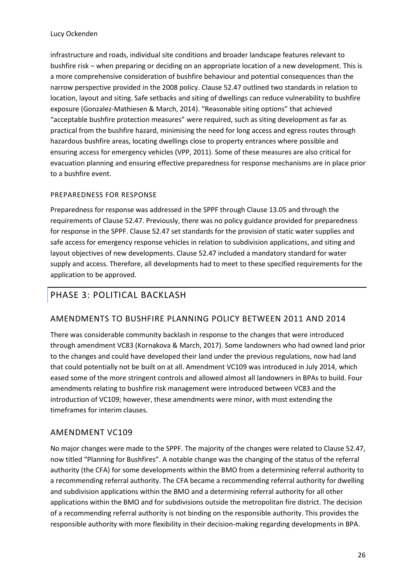infrastructure and roads, individual site conditions and broader landscape features relevant to bushfire risk – when preparing or deciding on an appropriate location of a new development. This is a more comprehensive consideration of bushfire behaviour and potential consequences than the narrow perspective provided in the 2008 policy. Clause 52.47 outlined two standards in relation to location, layout and siting. Safe setbacks and siting of dwellings can reduce vulnerability to bushfire exposure (Gonzalez-Mathiesen & March, 2014). "Reasonable siting options" that achieved "acceptable bushfire protection measures" were required, such as siting development as far as practical from the bushfire hazard, minimising the need for long access and egress routes through hazardous bushfire areas, locating dwellings close to property entrances where possible and ensuring access for emergency vehicles (VPP, 2011). Some of these measures are also critical for evacuation planning and ensuring effective preparedness for response mechanisms are in place prior to a bushfire event.

#### PREPAREDNESS FOR RESPONSE

Preparedness for response was addressed in the SPPF through Clause 13.05 and through the requirements of Clause 52.47. Previously, there was no policy guidance provided for preparedness for response in the SPPF. Clause 52.47 set standards for the provision of static water supplies and safe access for emergency response vehicles in relation to subdivision applications, and siting and layout objectives of new developments. Clause 52.47 included a mandatory standard for water supply and access. Therefore, all developments had to meet to these specified requirements for the application to be approved.

# <span id="page-25-0"></span>PHASE 3: POLITICAL BACKLASH

### AMENDMENTS TO BUSHFIRE PLANNING POLICY BETWEEN 2011 AND 2014

There was considerable community backlash in response to the changes that were introduced through amendment VC83 (Kornakova & March, 2017). Some landowners who had owned land prior to the changes and could have developed their land under the previous regulations, now had land that could potentially not be built on at all. Amendment VC109 was introduced in July 2014, which eased some of the more stringent controls and allowed almost all landowners in BPAs to build. Four amendments relating to bushfire risk management were introduced between VC83 and the introduction of VC109; however, these amendments were minor, with most extending the timeframes for interim clauses.

### AMENDMENT VC109

No major changes were made to the SPPF. The majority of the changes were related to Clause 52.47, now titled "Planning for Bushfires". A notable change was the changing of the status of the referral authority (the CFA) for some developments within the BMO from a determining referral authority to a recommending referral authority. The CFA became a recommending referral authority for dwelling and subdivision applications within the BMO and a determining referral authority for all other applications within the BMO and for subdivisions outside the metropolitan fire district. The decision of a recommending referral authority is not binding on the responsible authority. This provides the responsible authority with more flexibility in their decision-making regarding developments in BPA.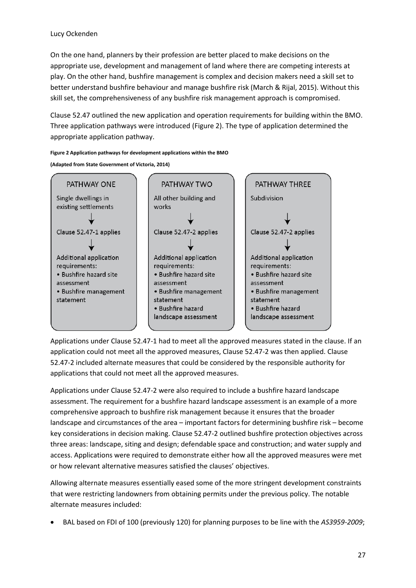#### Lucy Ockenden

On the one hand, planners by their profession are better placed to make decisions on the appropriate use, development and management of land where there are competing interests at play. On the other hand, bushfire management is complex and decision makers need a skill set to better understand bushfire behaviour and manage bushfire risk (March & Rijal, 2015). Without this skill set, the comprehensiveness of any bushfire risk management approach is compromised.

Clause 52.47 outlined the new application and operation requirements for building within the BMO. Three application pathways were introduced (Figure 2). The type of application determined the appropriate application pathway.

#### <span id="page-26-0"></span>**Figure 2 Application pathways for development applications within the BMO**

**(Adapted from State Government of Victoria, 2014)**



Applications under Clause 52.47-1 had to meet all the approved measures stated in the clause. If an application could not meet all the approved measures, Clause 52.47-2 was then applied. Clause 52.47-2 included alternate measures that could be considered by the responsible authority for applications that could not meet all the approved measures.

Applications under Clause 52.47-2 were also required to include a bushfire hazard landscape assessment. The requirement for a bushfire hazard landscape assessment is an example of a more comprehensive approach to bushfire risk management because it ensures that the broader landscape and circumstances of the area – important factors for determining bushfire risk – become key considerations in decision making. Clause 52.47-2 outlined bushfire protection objectives across three areas: landscape, siting and design; defendable space and construction; and water supply and access. Applications were required to demonstrate either how all the approved measures were met or how relevant alternative measures satisfied the clauses' objectives.

Allowing alternate measures essentially eased some of the more stringent development constraints that were restricting landowners from obtaining permits under the previous policy. The notable alternate measures included:

• BAL based on FDI of 100 (previously 120) for planning purposes to be line with the *AS3959-2009*;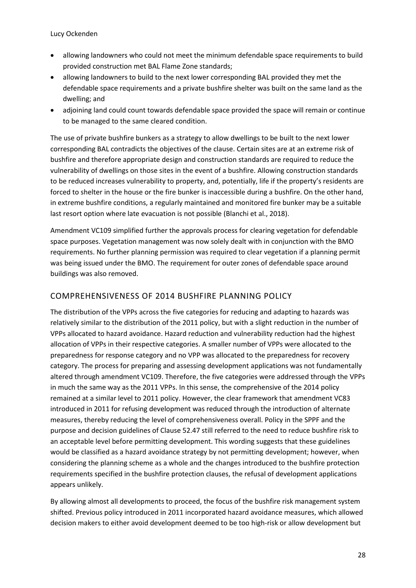- allowing landowners who could not meet the minimum defendable space requirements to build provided construction met BAL Flame Zone standards;
- allowing landowners to build to the next lower corresponding BAL provided they met the defendable space requirements and a private bushfire shelter was built on the same land as the dwelling; and
- adjoining land could count towards defendable space provided the space will remain or continue to be managed to the same cleared condition.

The use of private bushfire bunkers as a strategy to allow dwellings to be built to the next lower corresponding BAL contradicts the objectives of the clause. Certain sites are at an extreme risk of bushfire and therefore appropriate design and construction standards are required to reduce the vulnerability of dwellings on those sites in the event of a bushfire. Allowing construction standards to be reduced increases vulnerability to property, and, potentially, life if the property's residents are forced to shelter in the house or the fire bunker is inaccessible during a bushfire. On the other hand, in extreme bushfire conditions, a regularly maintained and monitored fire bunker may be a suitable last resort option where late evacuation is not possible (Blanchi et al., 2018).

Amendment VC109 simplified further the approvals process for clearing vegetation for defendable space purposes. Vegetation management was now solely dealt with in conjunction with the BMO requirements. No further planning permission was required to clear vegetation if a planning permit was being issued under the BMO. The requirement for outer zones of defendable space around buildings was also removed.

### COMPREHENSIVENESS OF 2014 BUSHFIRE PLANNING POLICY

The distribution of the VPPs across the five categories for reducing and adapting to hazards was relatively similar to the distribution of the 2011 policy, but with a slight reduction in the number of VPPs allocated to hazard avoidance. Hazard reduction and vulnerability reduction had the highest allocation of VPPs in their respective categories. A smaller number of VPPs were allocated to the preparedness for response category and no VPP was allocated to the preparedness for recovery category. The process for preparing and assessing development applications was not fundamentally altered through amendment VC109. Therefore, the five categories were addressed through the VPPs in much the same way as the 2011 VPPs. In this sense, the comprehensive of the 2014 policy remained at a similar level to 2011 policy. However, the clear framework that amendment VC83 introduced in 2011 for refusing development was reduced through the introduction of alternate measures, thereby reducing the level of comprehensiveness overall. Policy in the SPPF and the purpose and decision guidelines of Clause 52.47 still referred to the need to reduce bushfire risk to an acceptable level before permitting development. This wording suggests that these guidelines would be classified as a hazard avoidance strategy by not permitting development; however, when considering the planning scheme as a whole and the changes introduced to the bushfire protection requirements specified in the bushfire protection clauses, the refusal of development applications appears unlikely.

By allowing almost all developments to proceed, the focus of the bushfire risk management system shifted. Previous policy introduced in 2011 incorporated hazard avoidance measures, which allowed decision makers to either avoid development deemed to be too high-risk or allow development but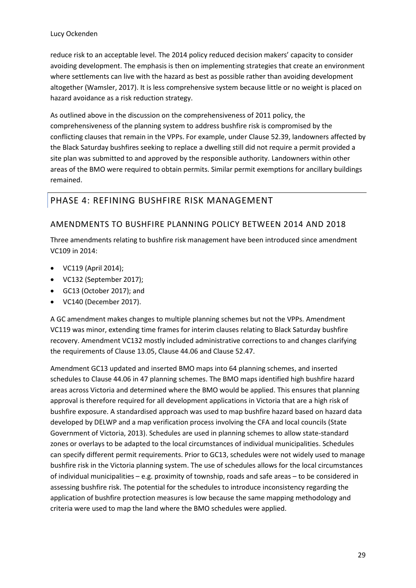reduce risk to an acceptable level. The 2014 policy reduced decision makers' capacity to consider avoiding development. The emphasis is then on implementing strategies that create an environment where settlements can live with the hazard as best as possible rather than avoiding development altogether (Wamsler, 2017). It is less comprehensive system because little or no weight is placed on hazard avoidance as a risk reduction strategy.

As outlined above in the discussion on the comprehensiveness of 2011 policy, the comprehensiveness of the planning system to address bushfire risk is compromised by the conflicting clauses that remain in the VPPs. For example, under Clause 52.39, landowners affected by the Black Saturday bushfires seeking to replace a dwelling still did not require a permit provided a site plan was submitted to and approved by the responsible authority. Landowners within other areas of the BMO were required to obtain permits. Similar permit exemptions for ancillary buildings remained.

### <span id="page-28-0"></span>PHASE 4: REFINING BUSHFIRE RISK MANAGEMENT

### AMENDMENTS TO BUSHFIRE PLANNING POLICY BETWEEN 2014 AND 2018

Three amendments relating to bushfire risk management have been introduced since amendment VC109 in 2014:

- VC119 (April 2014);
- VC132 (September 2017);
- GC13 (October 2017); and
- VC140 (December 2017).

A GC amendment makes changes to multiple planning schemes but not the VPPs. Amendment VC119 was minor, extending time frames for interim clauses relating to Black Saturday bushfire recovery. Amendment VC132 mostly included administrative corrections to and changes clarifying the requirements of Clause 13.05, Clause 44.06 and Clause 52.47.

Amendment GC13 updated and inserted BMO maps into 64 planning schemes, and inserted schedules to Clause 44.06 in 47 planning schemes. The BMO maps identified high bushfire hazard areas across Victoria and determined where the BMO would be applied. This ensures that planning approval is therefore required for all development applications in Victoria that are a high risk of bushfire exposure. A standardised approach was used to map bushfire hazard based on hazard data developed by DELWP and a map verification process involving the CFA and local councils (State Government of Victoria, 2013). Schedules are used in planning schemes to allow state-standard zones or overlays to be adapted to the local circumstances of individual municipalities. Schedules can specify different permit requirements. Prior to GC13, schedules were not widely used to manage bushfire risk in the Victoria planning system. The use of schedules allows for the local circumstances of individual municipalities – e.g. proximity of township, roads and safe areas – to be considered in assessing bushfire risk. The potential for the schedules to introduce inconsistency regarding the application of bushfire protection measures is low because the same mapping methodology and criteria were used to map the land where the BMO schedules were applied.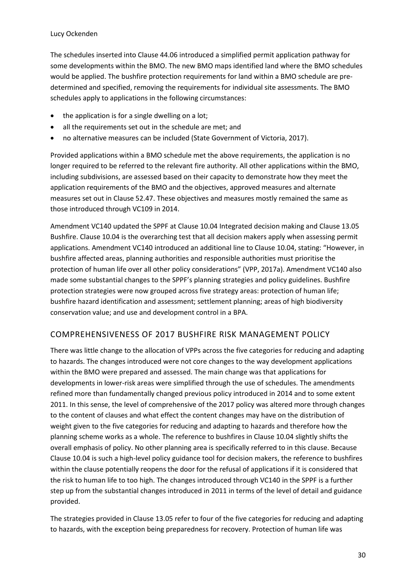#### Lucy Ockenden

The schedules inserted into Clause 44.06 introduced a simplified permit application pathway for some developments within the BMO. The new BMO maps identified land where the BMO schedules would be applied. The bushfire protection requirements for land within a BMO schedule are predetermined and specified, removing the requirements for individual site assessments. The BMO schedules apply to applications in the following circumstances:

- the application is for a single dwelling on a lot;
- all the requirements set out in the schedule are met; and
- no alternative measures can be included (State Government of Victoria, 2017).

Provided applications within a BMO schedule met the above requirements, the application is no longer required to be referred to the relevant fire authority. All other applications within the BMO, including subdivisions, are assessed based on their capacity to demonstrate how they meet the application requirements of the BMO and the objectives, approved measures and alternate measures set out in Clause 52.47. These objectives and measures mostly remained the same as those introduced through VC109 in 2014.

Amendment VC140 updated the SPPF at Clause 10.04 Integrated decision making and Clause 13.05 Bushfire. Clause 10.04 is the overarching test that all decision makers apply when assessing permit applications. Amendment VC140 introduced an additional line to Clause 10.04, stating: "However, in bushfire affected areas, planning authorities and responsible authorities must prioritise the protection of human life over all other policy considerations" (VPP, 2017a). Amendment VC140 also made some substantial changes to the SPPF's planning strategies and policy guidelines. Bushfire protection strategies were now grouped across five strategy areas: protection of human life; bushfire hazard identification and assessment; settlement planning; areas of high biodiversity conservation value; and use and development control in a BPA.

### COMPREHENSIVENESS OF 2017 BUSHFIRE RISK MANAGEMENT POLICY

There was little change to the allocation of VPPs across the five categories for reducing and adapting to hazards. The changes introduced were not core changes to the way development applications within the BMO were prepared and assessed. The main change was that applications for developments in lower-risk areas were simplified through the use of schedules. The amendments refined more than fundamentally changed previous policy introduced in 2014 and to some extent 2011. In this sense, the level of comprehensive of the 2017 policy was altered more through changes to the content of clauses and what effect the content changes may have on the distribution of weight given to the five categories for reducing and adapting to hazards and therefore how the planning scheme works as a whole. The reference to bushfires in Clause 10.04 slightly shifts the overall emphasis of policy. No other planning area is specifically referred to in this clause. Because Clause 10.04 is such a high-level policy guidance tool for decision makers, the reference to bushfires within the clause potentially reopens the door for the refusal of applications if it is considered that the risk to human life to too high. The changes introduced through VC140 in the SPPF is a further step up from the substantial changes introduced in 2011 in terms of the level of detail and guidance provided.

The strategies provided in Clause 13.05 refer to four of the five categories for reducing and adapting to hazards, with the exception being preparedness for recovery. Protection of human life was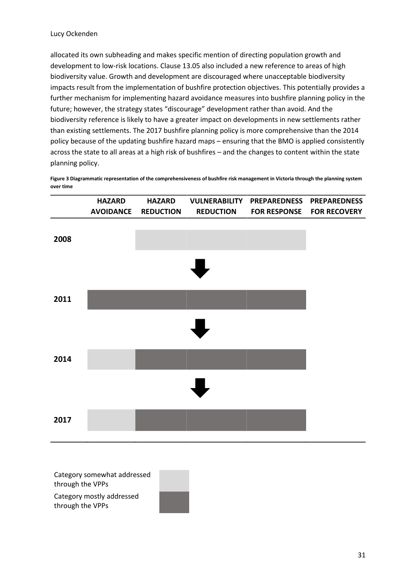allocated its own subheading and makes specific mention of directing population growth and development to low-risk locations. Clause 13.05 also included a new reference to areas of high biodiversity value. Growth and development are discouraged where unacceptable biodiversity impacts result from the implementation of bushfire protection objectives. This potentially provides a further mechanism for implementing hazard avoidance measures into bushfire planning policy in the future; however, the strategy states "discourage" development rather than avoid. And the biodiversity reference is likely to have a greater impact on developments in new settlements rather than existing settlements. The 2017 bushfire planning policy is more comprehensive than the 2014 policy because of the updating bushfire hazard maps – ensuring that the BMO is applied consistently across the state to all areas at a high risk of bushfires – and the changes to content within the state planning policy.

<span id="page-30-0"></span>**Figure 3 Diagrammatic representation of the comprehensiveness of bushfire risk management in Victoria through the planning system over time** 



Category somewhat addressed through the VPPs

Category mostly addressed through the VPPs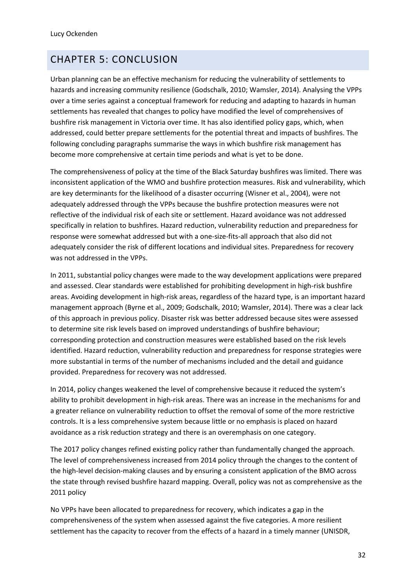# <span id="page-31-0"></span>CHAPTER 5: CONCLUSION

Urban planning can be an effective mechanism for reducing the vulnerability of settlements to hazards and increasing community resilience (Godschalk, 2010; Wamsler, 2014). Analysing the VPPs over a time series against a conceptual framework for reducing and adapting to hazards in human settlements has revealed that changes to policy have modified the level of comprehensives of bushfire risk management in Victoria over time. It has also identified policy gaps, which, when addressed, could better prepare settlements for the potential threat and impacts of bushfires. The following concluding paragraphs summarise the ways in which bushfire risk management has become more comprehensive at certain time periods and what is yet to be done.

The comprehensiveness of policy at the time of the Black Saturday bushfires was limited. There was inconsistent application of the WMO and bushfire protection measures. Risk and vulnerability, which are key determinants for the likelihood of a disaster occurring (Wisner et al., 2004), were not adequately addressed through the VPPs because the bushfire protection measures were not reflective of the individual risk of each site or settlement. Hazard avoidance was not addressed specifically in relation to bushfires. Hazard reduction, vulnerability reduction and preparedness for response were somewhat addressed but with a one-size-fits-all approach that also did not adequately consider the risk of different locations and individual sites. Preparedness for recovery was not addressed in the VPPs.

In 2011, substantial policy changes were made to the way development applications were prepared and assessed. Clear standards were established for prohibiting development in high-risk bushfire areas. Avoiding development in high-risk areas, regardless of the hazard type, is an important hazard management approach (Byrne et al., 2009; Godschalk, 2010; Wamsler, 2014). There was a clear lack of this approach in previous policy. Disaster risk was better addressed because sites were assessed to determine site risk levels based on improved understandings of bushfire behaviour; corresponding protection and construction measures were established based on the risk levels identified. Hazard reduction, vulnerability reduction and preparedness for response strategies were more substantial in terms of the number of mechanisms included and the detail and guidance provided. Preparedness for recovery was not addressed.

In 2014, policy changes weakened the level of comprehensive because it reduced the system's ability to prohibit development in high-risk areas. There was an increase in the mechanisms for and a greater reliance on vulnerability reduction to offset the removal of some of the more restrictive controls. It is a less comprehensive system because little or no emphasis is placed on hazard avoidance as a risk reduction strategy and there is an overemphasis on one category.

The 2017 policy changes refined existing policy rather than fundamentally changed the approach. The level of comprehensiveness increased from 2014 policy through the changes to the content of the high-level decision-making clauses and by ensuring a consistent application of the BMO across the state through revised bushfire hazard mapping. Overall, policy was not as comprehensive as the 2011 policy

No VPPs have been allocated to preparedness for recovery, which indicates a gap in the comprehensiveness of the system when assessed against the five categories. A more resilient settlement has the capacity to recover from the effects of a hazard in a timely manner (UNISDR,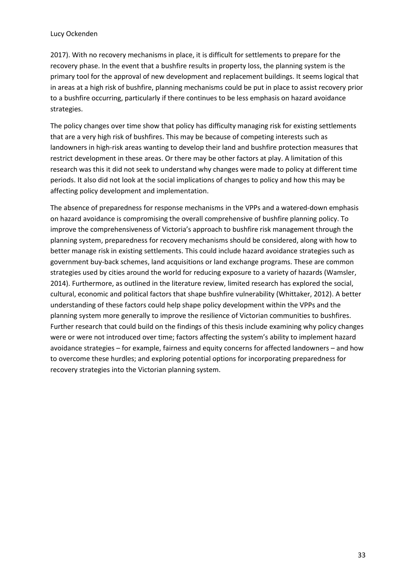2017). With no recovery mechanisms in place, it is difficult for settlements to prepare for the recovery phase. In the event that a bushfire results in property loss, the planning system is the primary tool for the approval of new development and replacement buildings. It seems logical that in areas at a high risk of bushfire, planning mechanisms could be put in place to assist recovery prior to a bushfire occurring, particularly if there continues to be less emphasis on hazard avoidance strategies.

The policy changes over time show that policy has difficulty managing risk for existing settlements that are a very high risk of bushfires. This may be because of competing interests such as landowners in high-risk areas wanting to develop their land and bushfire protection measures that restrict development in these areas. Or there may be other factors at play. A limitation of this research was this it did not seek to understand why changes were made to policy at different time periods. It also did not look at the social implications of changes to policy and how this may be affecting policy development and implementation.

The absence of preparedness for response mechanisms in the VPPs and a watered-down emphasis on hazard avoidance is compromising the overall comprehensive of bushfire planning policy. To improve the comprehensiveness of Victoria's approach to bushfire risk management through the planning system, preparedness for recovery mechanisms should be considered, along with how to better manage risk in existing settlements. This could include hazard avoidance strategies such as government buy-back schemes, land acquisitions or land exchange programs. These are common strategies used by cities around the world for reducing exposure to a variety of hazards (Wamsler, 2014). Furthermore, as outlined in the literature review, limited research has explored the social, cultural, economic and political factors that shape bushfire vulnerability (Whittaker, 2012). A better understanding of these factors could help shape policy development within the VPPs and the planning system more generally to improve the resilience of Victorian communities to bushfires. Further research that could build on the findings of this thesis include examining why policy changes were or were not introduced over time; factors affecting the system's ability to implement hazard avoidance strategies – for example, fairness and equity concerns for affected landowners – and how to overcome these hurdles; and exploring potential options for incorporating preparedness for recovery strategies into the Victorian planning system.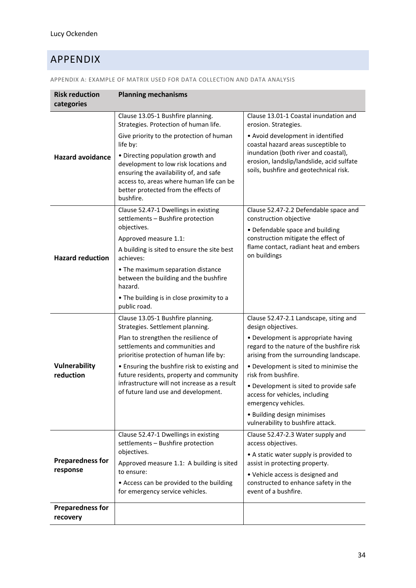# <span id="page-33-0"></span>APPENDIX

| <b>Risk reduction</b><br>categories | <b>Planning mechanisms</b>                                                                                                                                                                                            |                                                                                                                                  |
|-------------------------------------|-----------------------------------------------------------------------------------------------------------------------------------------------------------------------------------------------------------------------|----------------------------------------------------------------------------------------------------------------------------------|
|                                     | Clause 13.05-1 Bushfire planning.<br>Strategies. Protection of human life.                                                                                                                                            | Clause 13.01-1 Coastal inundation and<br>erosion. Strategies.                                                                    |
|                                     | Give priority to the protection of human<br>life by:                                                                                                                                                                  | • Avoid development in identified<br>coastal hazard areas susceptible to                                                         |
| <b>Hazard avoidance</b>             | • Directing population growth and<br>development to low risk locations and<br>ensuring the availability of, and safe<br>access to, areas where human life can be<br>better protected from the effects of<br>bushfire. | inundation (both river and coastal),<br>erosion, landslip/landslide, acid sulfate<br>soils, bushfire and geotechnical risk.      |
| <b>Hazard reduction</b>             | Clause 52.47-1 Dwellings in existing<br>settlements - Bushfire protection                                                                                                                                             | Clause 52.47-2.2 Defendable space and<br>construction objective                                                                  |
|                                     | objectives.<br>Approved measure 1.1:<br>A building is sited to ensure the site best<br>achieves:                                                                                                                      | • Defendable space and building<br>construction mitigate the effect of<br>flame contact, radiant heat and embers<br>on buildings |
|                                     | • The maximum separation distance<br>between the building and the bushfire<br>hazard.                                                                                                                                 |                                                                                                                                  |
|                                     | • The building is in close proximity to a<br>public road.                                                                                                                                                             |                                                                                                                                  |
|                                     | Clause 13.05-1 Bushfire planning.<br>Strategies. Settlement planning.                                                                                                                                                 | Clause 52.47-2.1 Landscape, siting and<br>design objectives.                                                                     |
|                                     | Plan to strengthen the resilience of<br>settlements and communities and<br>prioritise protection of human life by:                                                                                                    | • Development is appropriate having<br>regard to the nature of the bushfire risk<br>arising from the surrounding landscape.      |
| Vulnerability<br>reduction          | • Ensuring the bushfire risk to existing and<br>future residents, property and community                                                                                                                              | • Development is sited to minimise the<br>risk from bushfire.                                                                    |
|                                     | infrastructure will not increase as a result<br>of future land use and development.                                                                                                                                   | • Development is sited to provide safe<br>access for vehicles, including<br>emergency vehicles.                                  |
|                                     |                                                                                                                                                                                                                       | • Building design minimises<br>vulnerability to bushfire attack.                                                                 |
| <b>Preparedness for</b><br>response | Clause 52.47-1 Dwellings in existing<br>settlements - Bushfire protection<br>objectives.<br>Approved measure 1.1: A building is sited                                                                                 | Clause 52.47-2.3 Water supply and<br>access objectives.                                                                          |
|                                     |                                                                                                                                                                                                                       | • A static water supply is provided to<br>assist in protecting property.                                                         |
|                                     | to ensure:<br>• Access can be provided to the building<br>for emergency service vehicles.                                                                                                                             | • Vehicle access is designed and<br>constructed to enhance safety in the<br>event of a bushfire.                                 |
| <b>Preparedness for</b><br>recovery |                                                                                                                                                                                                                       |                                                                                                                                  |

APPENDIX A: EXAMPLE OF MATRIX USED FOR DATA COLLECTION AND DATA ANALYSIS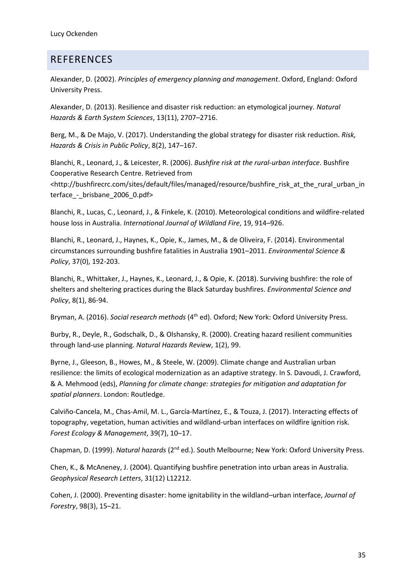# <span id="page-34-0"></span>REFERENCES

Alexander, D. (2002). *Principles of emergency planning and management*. Oxford, England: Oxford University Press.

Alexander, D. (2013). Resilience and disaster risk reduction: an etymological journey*. Natural Hazards & Earth System Sciences*, 13(11), 2707–2716.

Berg, M., & De Majo, V. (2017). Understanding the global strategy for disaster risk reduction. *Risk, Hazards & Crisis in Public Policy*, 8(2), 147–167.

Blanchi, R., Leonard, J., & Leicester, R. (2006). *Bushfire risk at the rural-urban interface*. Bushfire Cooperative Research Centre. Retrieved from <http://bushfirecrc.com/sites/default/files/managed/resource/bushfire\_risk\_at\_the\_rural\_urban\_in terface - brisbane 2006 0.pdf>

Blanchi, R., Lucas, C., Leonard, J., & Finkele, K. (2010). Meteorological conditions and wildfire-related house loss in Australia. *International Journal of Wildland Fire*, 19, 914–926.

Blanchi, R., Leonard, J., Haynes, K., Opie, K., James, M., & de Oliveira, F. (2014). Environmental circumstances surrounding bushfire fatalities in Australia 1901–2011. *Environmental Science & Policy*, 37(0), 192-203.

Blanchi, R., Whittaker, J., Haynes, K., Leonard, J., & Opie, K. (2018). Surviving bushfire: the role of shelters and sheltering practices during the Black Saturday bushfires. *Environmental Science and Policy*, 8(1), 86-94.

Bryman, A. (2016). *Social research methods* (4<sup>th</sup> ed). Oxford; New York: Oxford University Press.

Burby, R., Deyle, R., Godschalk, D., & Olshansky, R. (2000). Creating hazard resilient communities through land-use planning. *Natural Hazards Review*, 1(2), 99.

Byrne, J., Gleeson, B., Howes, M., & Steele, W. (2009). Climate change and Australian urban resilience: the limits of ecological modernization as an adaptive strategy. In S. Davoudi, J. Crawford, & A. Mehmood (eds), *Planning for climate change: strategies for mitigation and adaptation for spatial planners*. London: Routledge.

Calviño-Cancela, M., Chas-Amil, M. L., García-Martínez, E., & Touza, J. (2017). Interacting effects of topography, vegetation, human activities and wildland-urban interfaces on wildfire ignition risk. *Forest Ecology & Management*, 39(7), 10–17.

Chapman, D. (1999). *Natural hazards* (2nd ed.). South Melbourne; New York: Oxford University Press.

Chen, K., & McAneney, J. (2004). Quantifying bushfire penetration into urban areas in Australia. *Geophysical Research Letters*, 31(12) L12212.

Cohen, J. (2000). Preventing disaster: home ignitability in the wildland–urban interface, *Journal of Forestry*, 98(3), 15–21.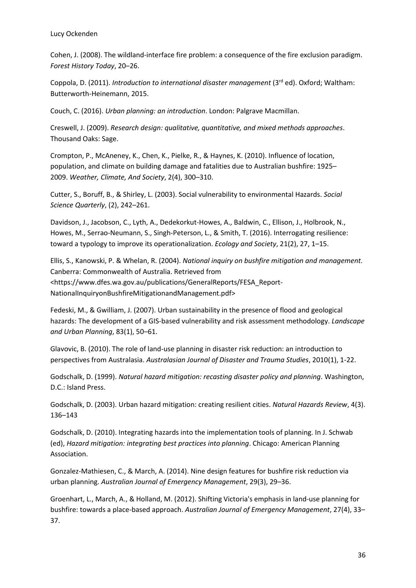Lucy Ockenden

Cohen, J. (2008). The wildland-interface fire problem: a consequence of the fire exclusion paradigm. *Forest History Today*, 20–26.

Coppola, D. (2011). *Introduction to international disaster management* (3<sup>rd</sup> ed). Oxford; Waltham: Butterworth-Heinemann, 2015.

Couch, C. (2016). *Urban planning: an introduction*. London: Palgrave Macmillan.

Creswell, J. (2009). *Research design: qualitative, quantitative, and mixed methods approaches*. Thousand Oaks: Sage.

Crompton, P., McAneney, K., Chen, K., Pielke, R., & Haynes, K. (2010). Influence of location, population, and climate on building damage and fatalities due to Australian bushfire: 1925– 2009. *Weather, Climate, And Society*, 2(4), 300–310.

Cutter, S., Boruff, B., & Shirley, L. (2003). Social vulnerability to environmental Hazards. *Social Science Quarterly*, (2), 242–261.

Davidson, J., Jacobson, C., Lyth, A., Dedekorkut-Howes, A., Baldwin, C., Ellison, J., Holbrook, N., Howes, M., Serrao-Neumann, S., Singh-Peterson, L., & Smith, T. (2016). Interrogating resilience: toward a typology to improve its operationalization. *Ecology and Society*, 21(2), 27, 1–15.

Ellis, S., Kanowski, P. & Whelan, R. (2004). *National inquiry on bushfire mitigation and management.* Canberra: Commonwealth of Australia. Retrieved from <https://www.dfes.wa.gov.au/publications/GeneralReports/FESA\_Report-NationalInquiryonBushfireMitigationandManagement.pdf>

Fedeski, M., & Gwilliam, J. (2007). Urban sustainability in the presence of flood and geological hazards: The development of a GIS-based vulnerability and risk assessment methodology. *Landscape and Urban Planning*, 83(1), 50–61.

Glavovic, B. (2010). The role of land-use planning in disaster risk reduction: an introduction to perspectives from Australasia. *Australasian Journal of Disaster and Trauma Studies*, 2010(1), 1-22.

Godschalk, D. (1999). *Natural hazard mitigation: recasting disaster policy and planning*. Washington, D.C.: Island Press.

Godschalk, D. (2003). Urban hazard mitigation: creating resilient cities. *Natural Hazards Review*, 4(3). 136–143

Godschalk, D. (2010). Integrating hazards into the implementation tools of planning. In J. Schwab (ed), *Hazard mitigation: integrating best practices into planning*. Chicago: American Planning Association.

Gonzalez-Mathiesen, C., & March, A. (2014). Nine design features for bushfire risk reduction via urban planning. *Australian Journal of Emergency Management*, 29(3), 29–36.

Groenhart, L., March, A., & Holland, M. (2012). Shifting Victoria's emphasis in land-use planning for bushfire: towards a place-based approach. *Australian Journal of Emergency Management*, 27(4), 33– 37.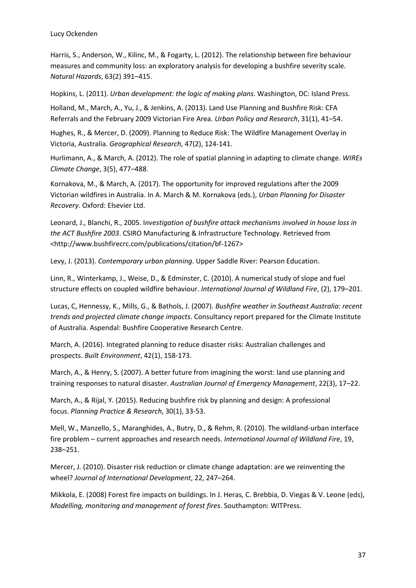Harris, S., Anderson, W., Kilinc, M., & Fogarty, L. (2012). The relationship between fire behaviour measures and community loss: an exploratory analysis for developing a bushfire severity scale. *Natural Hazards*, 63(2) 391–415.

Hopkins, L. (2011). *Urban development: the logic of making plans*. Washington, DC: Island Press.

Holland, M., March, A., Yu, J., & Jenkins, A. (2013). Land Use Planning and Bushfire Risk: CFA Referrals and the February 2009 Victorian Fire Area. *Urban Policy and Research*, 31(1), 41–54.

Hughes, R., & Mercer, D. (2009). Planning to Reduce Risk: The Wildfire Management Overlay in Victoria, Australia. *Geographical Research*, 47(2), 124-141.

Hurlimann, A., & March, A. (2012). The role of spatial planning in adapting to climate change. *WIREs Climate Change*, 3(5), 477–488.

Kornakova, M., & March, A. (2017). The opportunity for improved regulations after the 2009 Victorian wildfires in Australia. In A. March & M. Kornakova (eds.), *Urban Planning for Disaster Recovery*. Oxford: Elsevier Ltd.

Leonard, J., Blanchi, R., 2005. I*nvestigation of bushfire attack mechanisms involved in house loss in the ACT Bushfire 2003*. CSIRO Manufacturing & Infrastructure Technology. Retrieved from <http://www.bushfirecrc.com/publications/citation/bf-1267>

Levy, J. (2013). *Contemporary urban planning*. Upper Saddle River: Pearson Education.

Linn, R., Winterkamp, J., Weise, D., & Edminster, C. (2010). A numerical study of slope and fuel structure effects on coupled wildfire behaviour. *International Journal of Wildland Fire*, (2), 179–201.

Lucas, C, Hennessy, K., Mills, G., & Bathols, J. (2007). *Bushfire weather in Southeast Australia: recent trends and projected climate change impacts*. Consultancy report prepared for the Climate Institute of Australia. Aspendal: Bushfire Cooperative Research Centre.

March, A. (2016). Integrated planning to reduce disaster risks: Australian challenges and prospects. *Built Environment*, 42(1), 158-173.

March, A., & Henry, S. (2007). A better future from imagining the worst: land use planning and training responses to natural disaster. *Australian Journal of Emergency Management*, 22(3), 17–22.

March, A., & Rijal, Y. (2015). Reducing bushfire risk by planning and design: A professional focus. *Planning Practice & Research*, 30(1), 33-53.

Mell, W., Manzello, S., Maranghides, A., Butry, D., & Rehm, R. (2010). The wildland-urban interface fire problem – current approaches and research needs. *International Journal of Wildland Fire*, 19, 238–251.

Mercer, J. (2010). Disaster risk reduction or climate change adaptation: are we reinventing the wheel? *Journal of International Development*, 22, 247–264.

Mikkola, E. (2008) Forest fire impacts on buildings. In J. Heras, C. Brebbia, D. Viegas & V. Leone (eds), *Modelling, monitoring and management of forest fires*. Southampton: WITPress.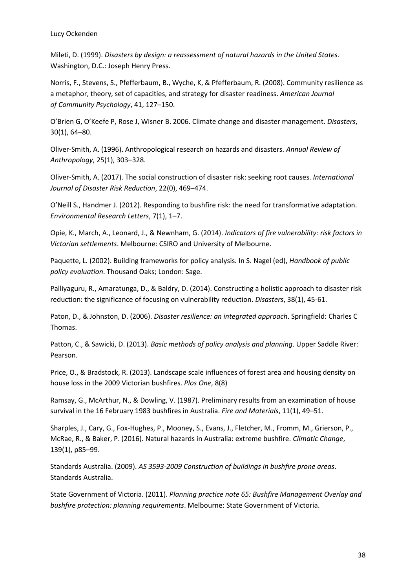Mileti, D. (1999). *Disasters by design: a reassessment of natural hazards in the United States*. Washington, D.C.: Joseph Henry Press.

Norris, F., Stevens, S., Pfefferbaum, B., Wyche, K, & Pfefferbaum, R. (2008). Community resilience as a metaphor, theory, set of capacities, and strategy for disaster readiness. *American Journal of Community Psychology*, 41, 127–150.

O'Brien G, O'Keefe P, Rose J, Wisner B. 2006. Climate change and disaster management. *Disasters*, 30(1), 64–80.

Oliver-Smith, A. (1996). Anthropological research on hazards and disasters. *Annual Review of Anthropology*, 25(1), 303–328.

Oliver-Smith, A. (2017). The social construction of disaster risk: seeking root causes. *International Journal of Disaster Risk Reduction*, 22(0), 469–474.

O'Neill S., Handmer J. (2012). Responding to bushfire risk: the need for transformative adaptation. *Environmental Research Letters*, 7(1), 1–7.

Opie, K., March, A., Leonard, J., & Newnham, G. (2014). *Indicators of fire vulnerability: risk factors in Victorian settlements*. Melbourne: CSIRO and University of Melbourne.

Paquette, L. (2002). Building frameworks for policy analysis. In S. Nagel (ed), *Handbook of public policy evaluation*. Thousand Oaks; London: Sage.

Palliyaguru, R., Amaratunga, D., & Baldry, D. (2014). Constructing a holistic approach to disaster risk reduction: the significance of focusing on vulnerability reduction. *Disasters*, 38(1), 45-61.

Paton, D., & Johnston, D. (2006). *Disaster resilience: an integrated approach*. Springfield: Charles C Thomas.

Patton, C., & Sawicki, D. (2013). *Basic methods of policy analysis and planning*. Upper Saddle River: Pearson.

Price, O., & Bradstock, R. (2013). Landscape scale influences of forest area and housing density on house loss in the 2009 Victorian bushfires. *Plos One*, 8(8)

Ramsay, G., McArthur, N., & Dowling, V. (1987). Preliminary results from an examination of house survival in the 16 February 1983 bushfires in Australia. *Fire and Materials*, 11(1), 49–51.

Sharples, J., Cary, G., Fox-Hughes, P., Mooney, S., Evans, J., Fletcher, M., Fromm, M., Grierson, P., McRae, R., & Baker, P. (2016). Natural hazards in Australia: extreme bushfire. *Climatic Change*, 139(1), p85–99.

Standards Australia. (2009). *AS 3593-2009 Construction of buildings in bushfire prone areas*. Standards Australia.

State Government of Victoria. (2011). *Planning practice note 65: Bushfire Management Overlay and bushfire protection: planning requirements*. Melbourne: State Government of Victoria.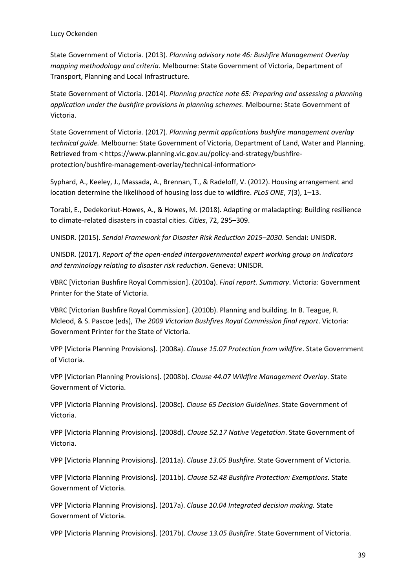State Government of Victoria. (2013). *Planning advisory note 46: Bushfire Management Overlay mapping methodology and criteria*. Melbourne: State Government of Victoria, Department of Transport, Planning and Local Infrastructure.

State Government of Victoria. (2014). *Planning practice note 65: Preparing and assessing a planning application under the bushfire provisions in planning schemes*. Melbourne: State Government of Victoria.

State Government of Victoria. (2017). *Planning permit applications bushfire management overlay technical guide.* Melbourne: State Government of Victoria, Department of Land, Water and Planning. Retrieved from < https://www.planning.vic.gov.au/policy-and-strategy/bushfireprotection/bushfire-management-overlay/technical-information>

Syphard, A., Keeley, J., Massada, A., Brennan, T., & Radeloff, V. (2012). Housing arrangement and location determine the likelihood of housing loss due to wildfire. *PLoS ONE*, 7(3), 1–13.

Torabi, E., Dedekorkut-Howes, A., & Howes, M. (2018). Adapting or maladapting: Building resilience to climate-related disasters in coastal cities. *Cities*, 72, 295–309.

UNISDR. (2015). *Sendai Framework for Disaster Risk Reduction 2015–2030*. Sendai: UNISDR.

UNISDR. (2017). *Report of the open-ended intergovernmental expert working group on indicators and terminology relating to disaster risk reduction*. Geneva: UNISDR.

VBRC [Victorian Bushfire Royal Commission]. (2010a). *Final report. Summary*. Victoria: Government Printer for the State of Victoria.

VBRC [Victorian Bushfire Royal Commission]. (2010b). Planning and building. In B. Teague, R. Mcleod, & S. Pascoe (eds), *The 2009 Victorian Bushfires Royal Commission final report*. Victoria: Government Printer for the State of Victoria.

VPP [Victoria Planning Provisions]. (2008a). *Clause 15.07 Protection from wildfire*. State Government of Victoria.

VPP [Victorian Planning Provisions]. (2008b). *Clause 44.07 Wildfire Management Overlay*. State Government of Victoria.

VPP [Victoria Planning Provisions]. (2008c). *Clause 65 Decision Guidelines*. State Government of Victoria.

VPP [Victoria Planning Provisions]. (2008d). *Clause 52.17 Native Vegetation*. State Government of Victoria.

VPP [Victoria Planning Provisions]. (2011a). *Clause 13.05 Bushfire*. State Government of Victoria.

VPP [Victoria Planning Provisions]. (2011b). *Clause 52.48 Bushfire Protection: Exemptions.* State Government of Victoria.

VPP [Victoria Planning Provisions]. (2017a). *Clause 10.04 Integrated decision making.* State Government of Victoria.

VPP [Victoria Planning Provisions]. (2017b). *Clause 13.05 Bushfire*. State Government of Victoria.